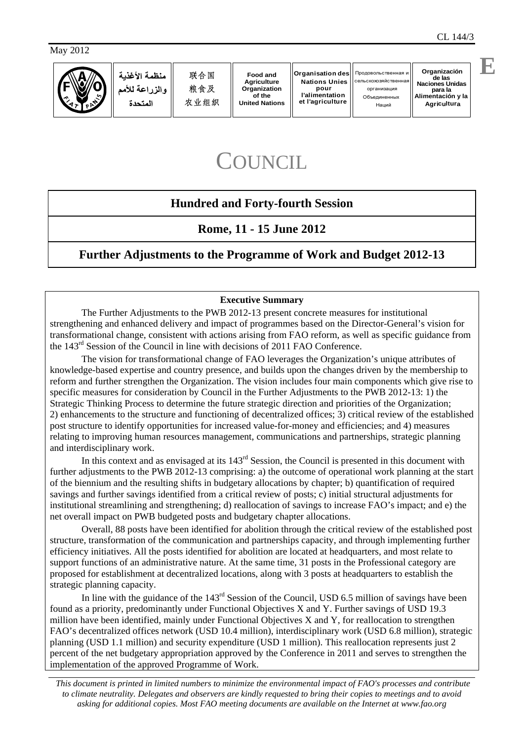May 2012



**Organización** de las<br>Naciones Unidas **Naciones Unidas** организация **para la Alimentación y la Agricultura**

# **COUNCIL**

### **Hundred and Forty-fourth Session**

### **Rome, 11 - 15 June 2012**

### **Further Adjustments to the Programme of Work and Budget 2012-13**

#### **Executive Summary**

 The Further Adjustments to the PWB 2012-13 present concrete measures for institutional strengthening and enhanced delivery and impact of programmes based on the Director-General's vision for transformational change, consistent with actions arising from FAO reform, as well as specific guidance from the 143rd Session of the Council in line with decisions of 2011 FAO Conference.

 The vision for transformational change of FAO leverages the Organization's unique attributes of knowledge-based expertise and country presence, and builds upon the changes driven by the membership to reform and further strengthen the Organization. The vision includes four main components which give rise to specific measures for consideration by Council in the Further Adjustments to the PWB 2012-13: 1) the Strategic Thinking Process to determine the future strategic direction and priorities of the Organization; 2) enhancements to the structure and functioning of decentralized offices; 3) critical review of the established post structure to identify opportunities for increased value-for-money and efficiencies; and 4) measures relating to improving human resources management, communications and partnerships, strategic planning and interdisciplinary work.

In this context and as envisaged at its 143<sup>rd</sup> Session, the Council is presented in this document with further adjustments to the PWB 2012-13 comprising: a) the outcome of operational work planning at the start of the biennium and the resulting shifts in budgetary allocations by chapter; b) quantification of required savings and further savings identified from a critical review of posts; c) initial structural adjustments for institutional streamlining and strengthening; d) reallocation of savings to increase FAO's impact; and e) the net overall impact on PWB budgeted posts and budgetary chapter allocations.

 Overall, 88 posts have been identified for abolition through the critical review of the established post structure, transformation of the communication and partnerships capacity, and through implementing further efficiency initiatives. All the posts identified for abolition are located at headquarters, and most relate to support functions of an administrative nature. At the same time, 31 posts in the Professional category are proposed for establishment at decentralized locations, along with 3 posts at headquarters to establish the strategic planning capacity.

In line with the guidance of the 143<sup>rd</sup> Session of the Council, USD 6.5 million of savings have been found as a priority, predominantly under Functional Objectives X and Y. Further savings of USD 19.3 million have been identified, mainly under Functional Objectives X and Y, for reallocation to strengthen FAO's decentralized offices network (USD 10.4 million), interdisciplinary work (USD 6.8 million), strategic planning (USD 1.1 million) and security expenditure (USD 1 million). This reallocation represents just 2 percent of the net budgetary appropriation approved by the Conference in 2011 and serves to strengthen the implementation of the approved Programme of Work.

 *This document is printed in limited numbers to minimize the environmental impact of FAO's processes and contribute to climate neutrality. Delegates and observers are kindly requested to bring their copies to meetings and to avoid asking for additional copies. Most FAO meeting documents are available on the Internet at www.fao.org*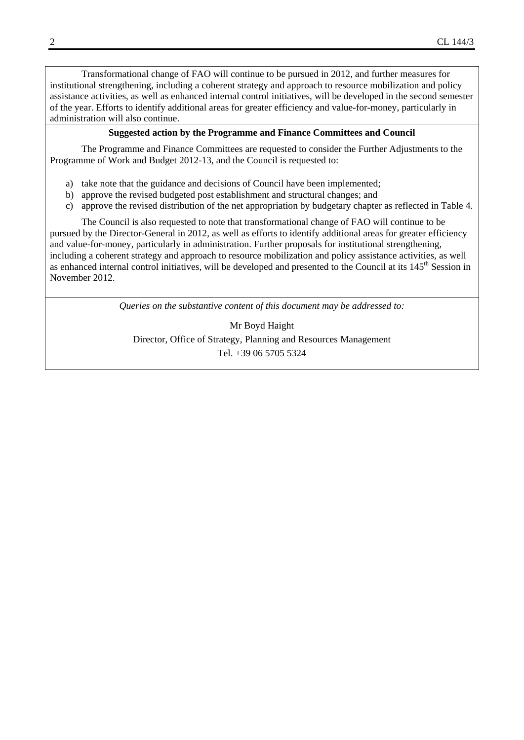Transformational change of FAO will continue to be pursued in 2012, and further measures for institutional strengthening, including a coherent strategy and approach to resource mobilization and policy assistance activities, as well as enhanced internal control initiatives, will be developed in the second semester of the year. Efforts to identify additional areas for greater efficiency and value-for-money, particularly in administration will also continue.

#### **Suggested action by the Programme and Finance Committees and Council**

 The Programme and Finance Committees are requested to consider the Further Adjustments to the Programme of Work and Budget 2012-13, and the Council is requested to:

- a) take note that the guidance and decisions of Council have been implemented;
- b) approve the revised budgeted post establishment and structural changes; and
- c) approve the revised distribution of the net appropriation by budgetary chapter as reflected in Table 4.

 The Council is also requested to note that transformational change of FAO will continue to be pursued by the Director-General in 2012, as well as efforts to identify additional areas for greater efficiency and value-for-money, particularly in administration. Further proposals for institutional strengthening, including a coherent strategy and approach to resource mobilization and policy assistance activities, as well as enhanced internal control initiatives, will be developed and presented to the Council at its 145<sup>th</sup> Session in November 2012.

*Queries on the substantive content of this document may be addressed to:* 

Mr Boyd Haight Director, Office of Strategy, Planning and Resources Management Tel. +39 06 5705 5324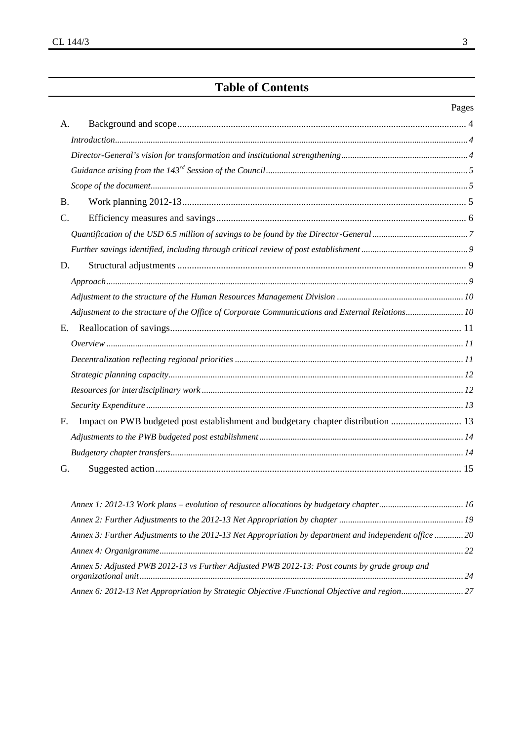## **Table of Contents**

#### Pages

| A.             |                                                                                                |  |
|----------------|------------------------------------------------------------------------------------------------|--|
|                | Introduction 4                                                                                 |  |
|                |                                                                                                |  |
|                |                                                                                                |  |
|                |                                                                                                |  |
| <b>B.</b>      |                                                                                                |  |
| $\mathbf{C}$ . |                                                                                                |  |
|                |                                                                                                |  |
|                |                                                                                                |  |
| D.             |                                                                                                |  |
|                |                                                                                                |  |
|                |                                                                                                |  |
|                | Adjustment to the structure of the Office of Corporate Communications and External Relations10 |  |
| E.             |                                                                                                |  |
|                |                                                                                                |  |
|                |                                                                                                |  |
|                |                                                                                                |  |
|                |                                                                                                |  |
|                |                                                                                                |  |
| F.             | Impact on PWB budgeted post establishment and budgetary chapter distribution  13               |  |
|                |                                                                                                |  |
|                |                                                                                                |  |
| G.             |                                                                                                |  |
|                |                                                                                                |  |

| Annex 3: Further Adjustments to the 2012-13 Net Appropriation by department and independent office  20 |  |
|--------------------------------------------------------------------------------------------------------|--|
|                                                                                                        |  |
| Annex 5: Adjusted PWB 2012-13 vs Further Adjusted PWB 2012-13: Post counts by grade group and          |  |
|                                                                                                        |  |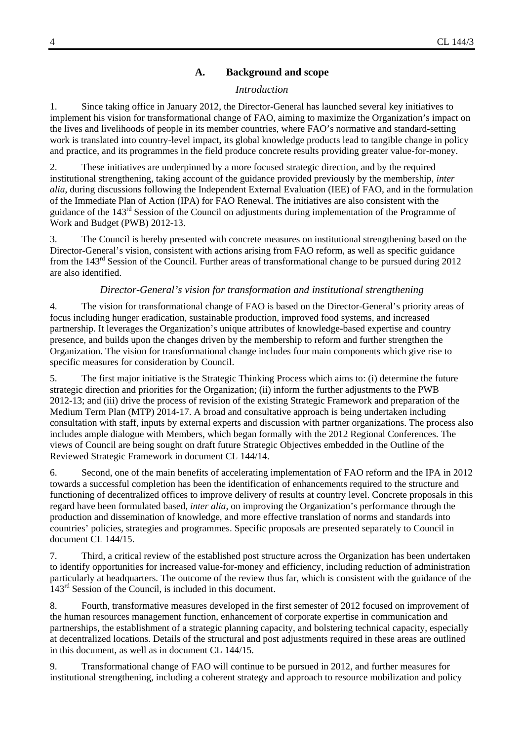#### **A. Background and scope**

#### *Introduction*

1. Since taking office in January 2012, the Director-General has launched several key initiatives to implement his vision for transformational change of FAO, aiming to maximize the Organization's impact on the lives and livelihoods of people in its member countries, where FAO's normative and standard-setting work is translated into country-level impact, its global knowledge products lead to tangible change in policy and practice, and its programmes in the field produce concrete results providing greater value-for-money.

2. These initiatives are underpinned by a more focused strategic direction, and by the required institutional strengthening, taking account of the guidance provided previously by the membership, *inter alia*, during discussions following the Independent External Evaluation (IEE) of FAO, and in the formulation of the Immediate Plan of Action (IPA) for FAO Renewal. The initiatives are also consistent with the guidance of the 143rd Session of the Council on adjustments during implementation of the Programme of Work and Budget (PWB) 2012-13.

3. The Council is hereby presented with concrete measures on institutional strengthening based on the Director-General's vision, consistent with actions arising from FAO reform, as well as specific guidance from the 143<sup>rd</sup> Session of the Council. Further areas of transformational change to be pursued during 2012 are also identified.

#### *Director-General's vision for transformation and institutional strengthening*

4. The vision for transformational change of FAO is based on the Director-General's priority areas of focus including hunger eradication, sustainable production, improved food systems, and increased partnership. It leverages the Organization's unique attributes of knowledge-based expertise and country presence, and builds upon the changes driven by the membership to reform and further strengthen the Organization. The vision for transformational change includes four main components which give rise to specific measures for consideration by Council.

5. The first major initiative is the Strategic Thinking Process which aims to: (i) determine the future strategic direction and priorities for the Organization; (ii) inform the further adjustments to the PWB 2012-13; and (iii) drive the process of revision of the existing Strategic Framework and preparation of the Medium Term Plan (MTP) 2014-17. A broad and consultative approach is being undertaken including consultation with staff, inputs by external experts and discussion with partner organizations. The process also includes ample dialogue with Members, which began formally with the 2012 Regional Conferences. The views of Council are being sought on draft future Strategic Objectives embedded in the Outline of the Reviewed Strategic Framework in document CL 144/14.

6. Second, one of the main benefits of accelerating implementation of FAO reform and the IPA in 2012 towards a successful completion has been the identification of enhancements required to the structure and functioning of decentralized offices to improve delivery of results at country level. Concrete proposals in this regard have been formulated based, *inter alia*, on improving the Organization's performance through the production and dissemination of knowledge, and more effective translation of norms and standards into countries' policies, strategies and programmes. Specific proposals are presented separately to Council in document CL 144/15.

7. Third, a critical review of the established post structure across the Organization has been undertaken to identify opportunities for increased value-for-money and efficiency, including reduction of administration particularly at headquarters. The outcome of the review thus far, which is consistent with the guidance of the 143<sup>rd</sup> Session of the Council, is included in this document.

8. Fourth, transformative measures developed in the first semester of 2012 focused on improvement of the human resources management function, enhancement of corporate expertise in communication and partnerships, the establishment of a strategic planning capacity, and bolstering technical capacity, especially at decentralized locations. Details of the structural and post adjustments required in these areas are outlined in this document, as well as in document CL 144/15.

9. Transformational change of FAO will continue to be pursued in 2012, and further measures for institutional strengthening, including a coherent strategy and approach to resource mobilization and policy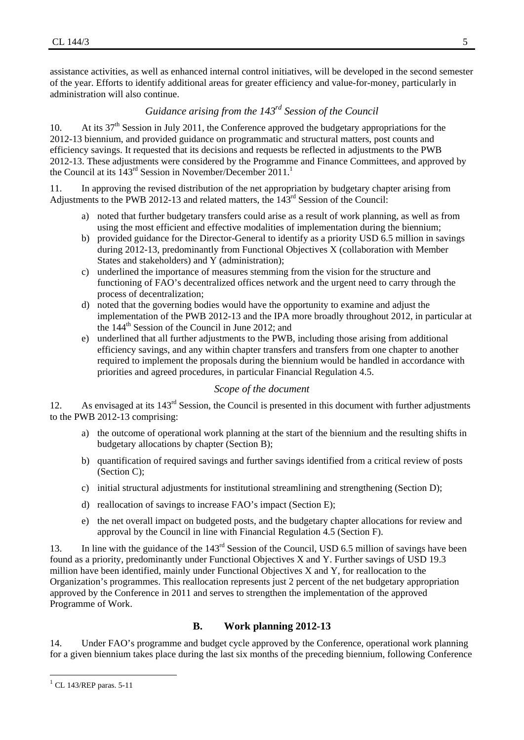assistance activities, as well as enhanced internal control initiatives, will be developed in the second semester of the year. Efforts to identify additional areas for greater efficiency and value-for-money, particularly in administration will also continue.

### *Guidance arising from the 143rd Session of the Council*

10. At its  $37<sup>th</sup>$  Session in July 2011, the Conference approved the budgetary appropriations for the 2012-13 biennium, and provided guidance on programmatic and structural matters, post counts and efficiency savings. It requested that its decisions and requests be reflected in adjustments to the PWB 2012-13. These adjustments were considered by the Programme and Finance Committees, and approved by the Council at its  $143^{rd}$  Session in November/December 2011.<sup>1</sup>

11. In approving the revised distribution of the net appropriation by budgetary chapter arising from Adjustments to the PWB 2012-13 and related matters, the 143<sup>rd</sup> Session of the Council:

- a) noted that further budgetary transfers could arise as a result of work planning, as well as from using the most efficient and effective modalities of implementation during the biennium;
- b) provided guidance for the Director-General to identify as a priority USD 6.5 million in savings during 2012-13, predominantly from Functional Objectives X (collaboration with Member States and stakeholders) and Y (administration);
- c) underlined the importance of measures stemming from the vision for the structure and functioning of FAO's decentralized offices network and the urgent need to carry through the process of decentralization;
- d) noted that the governing bodies would have the opportunity to examine and adjust the implementation of the PWB 2012-13 and the IPA more broadly throughout 2012, in particular at the  $144<sup>th</sup>$  Session of the Council in June 2012; and
- e) underlined that all further adjustments to the PWB, including those arising from additional efficiency savings, and any within chapter transfers and transfers from one chapter to another required to implement the proposals during the biennium would be handled in accordance with priorities and agreed procedures, in particular Financial Regulation 4.5.

#### *Scope of the document*

12. As envisaged at its 143<sup>rd</sup> Session, the Council is presented in this document with further adjustments to the PWB 2012-13 comprising:

- a) the outcome of operational work planning at the start of the biennium and the resulting shifts in budgetary allocations by chapter (Section B);
- b) quantification of required savings and further savings identified from a critical review of posts (Section C);
- c) initial structural adjustments for institutional streamlining and strengthening (Section D);
- d) reallocation of savings to increase FAO's impact (Section E);
- e) the net overall impact on budgeted posts, and the budgetary chapter allocations for review and approval by the Council in line with Financial Regulation 4.5 (Section F).

13. In line with the guidance of the 143rd Session of the Council, USD 6.5 million of savings have been found as a priority, predominantly under Functional Objectives X and Y. Further savings of USD 19.3 million have been identified, mainly under Functional Objectives X and Y, for reallocation to the Organization's programmes. This reallocation represents just 2 percent of the net budgetary appropriation approved by the Conference in 2011 and serves to strengthen the implementation of the approved Programme of Work.

#### **B. Work planning 2012-13**

14. Under FAO's programme and budget cycle approved by the Conference, operational work planning for a given biennium takes place during the last six months of the preceding biennium, following Conference

  $1$  CL 143/REP paras. 5-11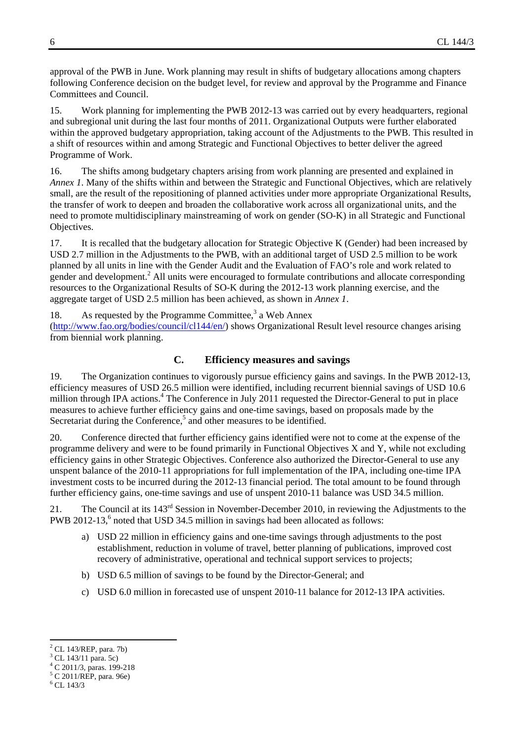approval of the PWB in June. Work planning may result in shifts of budgetary allocations among chapters following Conference decision on the budget level, for review and approval by the Programme and Finance Committees and Council.

15. Work planning for implementing the PWB 2012-13 was carried out by every headquarters, regional and subregional unit during the last four months of 2011. Organizational Outputs were further elaborated within the approved budgetary appropriation, taking account of the Adjustments to the PWB. This resulted in a shift of resources within and among Strategic and Functional Objectives to better deliver the agreed Programme of Work.

16. The shifts among budgetary chapters arising from work planning are presented and explained in *Annex 1*. Many of the shifts within and between the Strategic and Functional Objectives, which are relatively small, are the result of the repositioning of planned activities under more appropriate Organizational Results, the transfer of work to deepen and broaden the collaborative work across all organizational units, and the need to promote multidisciplinary mainstreaming of work on gender (SO-K) in all Strategic and Functional Objectives.

17. It is recalled that the budgetary allocation for Strategic Objective K (Gender) had been increased by USD 2.7 million in the Adjustments to the PWB, with an additional target of USD 2.5 million to be work planned by all units in line with the Gender Audit and the Evaluation of FAO's role and work related to gender and development.<sup>2</sup> All units were encouraged to formulate contributions and allocate corresponding resources to the Organizational Results of SO-K during the 2012-13 work planning exercise, and the aggregate target of USD 2.5 million has been achieved, as shown in *Annex 1*.

18. As requested by the Programme Committee,<sup>3</sup> a Web Annex

(http://www.fao.org/bodies/council/cl144/en/) shows Organizational Result level resource changes arising from biennial work planning.

#### **C. Efficiency measures and savings**

19. The Organization continues to vigorously pursue efficiency gains and savings. In the PWB 2012-13, efficiency measures of USD 26.5 million were identified, including recurrent biennial savings of USD 10.6 million through IPA actions.<sup>4</sup> The Conference in July 2011 requested the Director-General to put in place measures to achieve further efficiency gains and one-time savings, based on proposals made by the Secretariat during the Conference,<sup>5</sup> and other measures to be identified.

20. Conference directed that further efficiency gains identified were not to come at the expense of the programme delivery and were to be found primarily in Functional Objectives  $X$  and  $Y$ , while not excluding efficiency gains in other Strategic Objectives. Conference also authorized the Director-General to use any unspent balance of the 2010-11 appropriations for full implementation of the IPA, including one-time IPA investment costs to be incurred during the 2012-13 financial period. The total amount to be found through further efficiency gains, one-time savings and use of unspent 2010-11 balance was USD 34.5 million.

21. The Council at its 143<sup>rd</sup> Session in November-December 2010, in reviewing the Adjustments to the PWB 2012-13, $6$  noted that USD 34.5 million in savings had been allocated as follows:

- a) USD 22 million in efficiency gains and one-time savings through adjustments to the post establishment, reduction in volume of travel, better planning of publications, improved cost recovery of administrative, operational and technical support services to projects;
- b) USD 6.5 million of savings to be found by the Director-General; and
- c) USD 6.0 million in forecasted use of unspent 2010-11 balance for 2012-13 IPA activities.

 2 CL 143/REP, para. 7b)

<sup>&</sup>lt;sup>3</sup> CL 143/11 para. 5c)

<sup>4</sup> C 2011/3, paras. 199-218

<sup>5</sup> C 2011/REP, para. 96e)

 $^6$  CL 143/3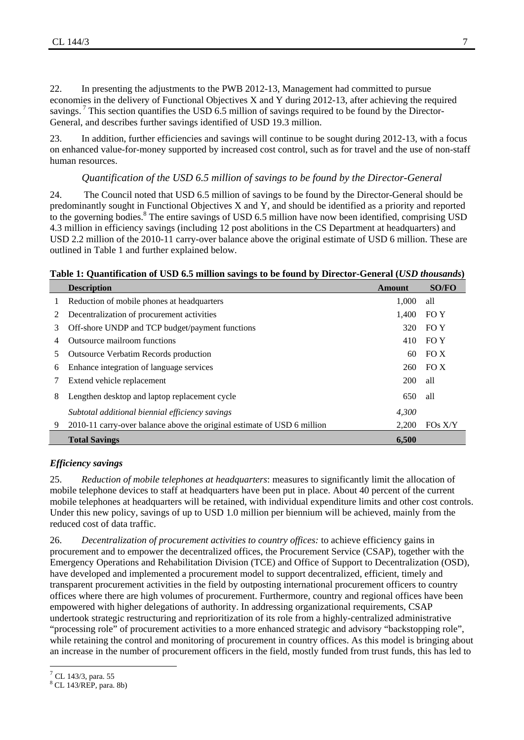22. In presenting the adjustments to the PWB 2012-13, Management had committed to pursue economies in the delivery of Functional Objectives X and Y during 2012-13, after achieving the required savings.<sup>7</sup> This section quantifies the USD 6.5 million of savings required to be found by the Director-General, and describes further savings identified of USD 19.3 million.

23. In addition, further efficiencies and savings will continue to be sought during 2012-13, with a focus on enhanced value-for-money supported by increased cost control, such as for travel and the use of non-staff human resources.

#### *Quantification of the USD 6.5 million of savings to be found by the Director-General*

24. The Council noted that USD 6.5 million of savings to be found by the Director-General should be predominantly sought in Functional Objectives X and Y, and should be identified as a priority and reported to the governing bodies. $8$  The entire savings of USD 6.5 million have now been identified, comprising USD 4.3 million in efficiency savings (including 12 post abolitions in the CS Department at headquarters) and USD 2.2 million of the 2010-11 carry-over balance above the original estimate of USD 6 million. These are outlined in Table 1 and further explained below.

#### **Table 1: Quantification of USD 6.5 million savings to be found by Director-General (***USD thousands***)**

|   | -<br><b>Description</b>                                                 | <b>Amount</b> | <b>SO/FO</b> |
|---|-------------------------------------------------------------------------|---------------|--------------|
|   | Reduction of mobile phones at headquarters                              | 1.000         | all          |
|   | Decentralization of procurement activities                              | 1,400         | FO Y         |
| 3 | Off-shore UNDP and TCP budget/payment functions                         | 320           | FO Y         |
| 4 | Outsource mailroom functions                                            | 410           | FO Y         |
| 5 | <b>Outsource Verbatim Records production</b>                            | 60            | FO X         |
| 6 | Enhance integration of language services                                | 260           | FOX          |
|   | Extend vehicle replacement                                              | 200           | all          |
| 8 | Lengthen desktop and laptop replacement cycle                           | 650           | all          |
|   | Subtotal additional biennial efficiency savings                         | 4,300         |              |
| 9 | 2010-11 carry-over balance above the original estimate of USD 6 million | 2.200         | $FOs$ $X/Y$  |
|   | <b>Total Savings</b>                                                    | 6,500         |              |

#### *Efficiency savings*

25. *Reduction of mobile telephones at headquarters*: measures to significantly limit the allocation of mobile telephone devices to staff at headquarters have been put in place. About 40 percent of the current mobile telephones at headquarters will be retained, with individual expenditure limits and other cost controls. Under this new policy, savings of up to USD 1.0 million per biennium will be achieved, mainly from the reduced cost of data traffic.

26. *Decentralization of procurement activities to country offices:* to achieve efficiency gains in procurement and to empower the decentralized offices, the Procurement Service (CSAP), together with the Emergency Operations and Rehabilitation Division (TCE) and Office of Support to Decentralization (OSD), have developed and implemented a procurement model to support decentralized, efficient, timely and transparent procurement activities in the field by outposting international procurement officers to country offices where there are high volumes of procurement. Furthermore, country and regional offices have been empowered with higher delegations of authority. In addressing organizational requirements, CSAP undertook strategic restructuring and reprioritization of its role from a highly-centralized administrative "processing role" of procurement activities to a more enhanced strategic and advisory "backstopping role", while retaining the control and monitoring of procurement in country offices. As this model is bringing about an increase in the number of procurement officers in the field, mostly funded from trust funds, this has led to

 $^7$  CL 143/3, para. 55

<sup>8</sup> CL 143/REP, para. 8b)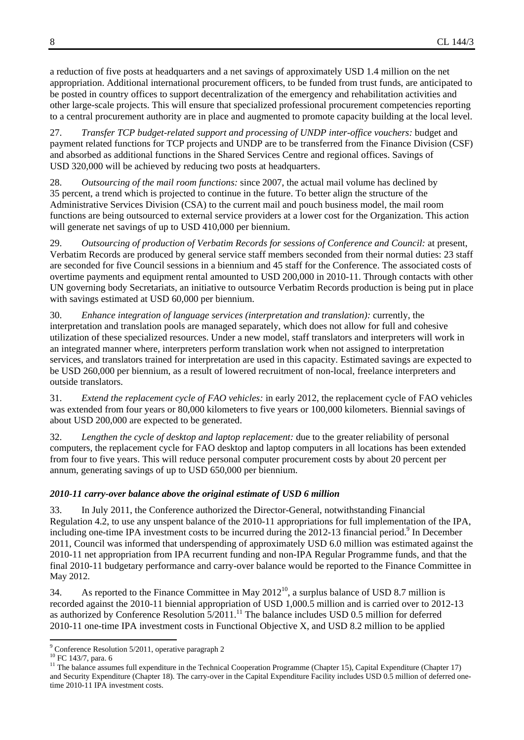a reduction of five posts at headquarters and a net savings of approximately USD 1.4 million on the net appropriation. Additional international procurement officers, to be funded from trust funds, are anticipated to be posted in country offices to support decentralization of the emergency and rehabilitation activities and other large-scale projects. This will ensure that specialized professional procurement competencies reporting to a central procurement authority are in place and augmented to promote capacity building at the local level.

27. *Transfer TCP budget-related support and processing of UNDP inter-office vouchers:* budget and payment related functions for TCP projects and UNDP are to be transferred from the Finance Division (CSF) and absorbed as additional functions in the Shared Services Centre and regional offices. Savings of USD 320,000 will be achieved by reducing two posts at headquarters.

28. *Outsourcing of the mail room functions:* since 2007, the actual mail volume has declined by 35 percent, a trend which is projected to continue in the future. To better align the structure of the Administrative Services Division (CSA) to the current mail and pouch business model, the mail room functions are being outsourced to external service providers at a lower cost for the Organization. This action will generate net savings of up to USD 410,000 per biennium.

29. *Outsourcing of production of Verbatim Records for sessions of Conference and Council:* at present, Verbatim Records are produced by general service staff members seconded from their normal duties: 23 staff are seconded for five Council sessions in a biennium and 45 staff for the Conference. The associated costs of overtime payments and equipment rental amounted to USD 200,000 in 2010-11. Through contacts with other UN governing body Secretariats, an initiative to outsource Verbatim Records production is being put in place with savings estimated at USD 60,000 per biennium.

30. *Enhance integration of language services (interpretation and translation):* currently, the interpretation and translation pools are managed separately, which does not allow for full and cohesive utilization of these specialized resources. Under a new model, staff translators and interpreters will work in an integrated manner where, interpreters perform translation work when not assigned to interpretation services, and translators trained for interpretation are used in this capacity. Estimated savings are expected to be USD 260,000 per biennium, as a result of lowered recruitment of non-local, freelance interpreters and outside translators.

31. *Extend the replacement cycle of FAO vehicles:* in early 2012, the replacement cycle of FAO vehicles was extended from four years or 80,000 kilometers to five years or 100,000 kilometers. Biennial savings of about USD 200,000 are expected to be generated.

32. *Lengthen the cycle of desktop and laptop replacement:* due to the greater reliability of personal computers, the replacement cycle for FAO desktop and laptop computers in all locations has been extended from four to five years. This will reduce personal computer procurement costs by about 20 percent per annum, generating savings of up to USD 650,000 per biennium.

#### *2010-11 carry-over balance above the original estimate of USD 6 million*

33. In July 2011, the Conference authorized the Director-General, notwithstanding Financial Regulation 4.2, to use any unspent balance of the 2010-11 appropriations for full implementation of the IPA, including one-time IPA investment costs to be incurred during the 2012-13 financial period.<sup>9</sup> In December 2011, Council was informed that underspending of approximately USD 6.0 million was estimated against the 2010-11 net appropriation from IPA recurrent funding and non-IPA Regular Programme funds, and that the final 2010-11 budgetary performance and carry-over balance would be reported to the Finance Committee in May 2012.

34. As reported to the Finance Committee in May  $2012^{10}$ , a surplus balance of USD 8.7 million is recorded against the 2010-11 biennial appropriation of USD 1,000.5 million and is carried over to 2012-13 as authorized by Conference Resolution 5/2011.<sup>11</sup> The balance includes USD 0.5 million for deferred 2010-11 one-time IPA investment costs in Functional Objective X, and USD 8.2 million to be applied

 9 Conference Resolution 5/2011, operative paragraph 2

<sup>10</sup> FC 143/7, para. 6

<sup>&</sup>lt;sup>11</sup> The balance assumes full expenditure in the Technical Cooperation Programme (Chapter 15), Capital Expenditure (Chapter 17) and Security Expenditure (Chapter 18). The carry-over in the Capital Expenditure Facility includes USD 0.5 million of deferred onetime 2010-11 IPA investment costs.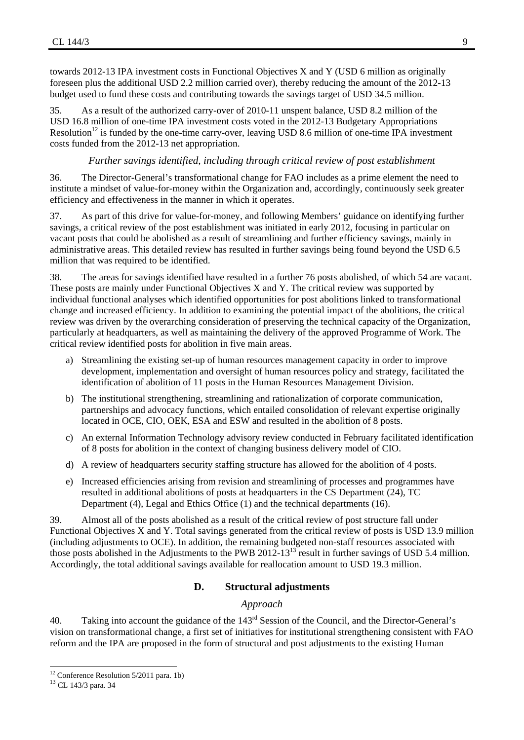towards 2012-13 IPA investment costs in Functional Objectives X and Y (USD 6 million as originally foreseen plus the additional USD 2.2 million carried over), thereby reducing the amount of the 2012-13 budget used to fund these costs and contributing towards the savings target of USD 34.5 million.

35. As a result of the authorized carry-over of 2010-11 unspent balance, USD 8.2 million of the USD 16.8 million of one-time IPA investment costs voted in the 2012-13 Budgetary Appropriations Resolution<sup>12</sup> is funded by the one-time carry-over, leaving USD 8.6 million of one-time IPA investment costs funded from the 2012-13 net appropriation.

#### *Further savings identified, including through critical review of post establishment*

36. The Director-General's transformational change for FAO includes as a prime element the need to institute a mindset of value-for-money within the Organization and, accordingly, continuously seek greater efficiency and effectiveness in the manner in which it operates.

37. As part of this drive for value-for-money, and following Members' guidance on identifying further savings, a critical review of the post establishment was initiated in early 2012, focusing in particular on vacant posts that could be abolished as a result of streamlining and further efficiency savings, mainly in administrative areas. This detailed review has resulted in further savings being found beyond the USD 6.5 million that was required to be identified.

38. The areas for savings identified have resulted in a further 76 posts abolished, of which 54 are vacant. These posts are mainly under Functional Objectives X and Y. The critical review was supported by individual functional analyses which identified opportunities for post abolitions linked to transformational change and increased efficiency. In addition to examining the potential impact of the abolitions, the critical review was driven by the overarching consideration of preserving the technical capacity of the Organization, particularly at headquarters, as well as maintaining the delivery of the approved Programme of Work. The critical review identified posts for abolition in five main areas.

- a) Streamlining the existing set-up of human resources management capacity in order to improve development, implementation and oversight of human resources policy and strategy, facilitated the identification of abolition of 11 posts in the Human Resources Management Division.
- b) The institutional strengthening, streamlining and rationalization of corporate communication, partnerships and advocacy functions, which entailed consolidation of relevant expertise originally located in OCE, CIO, OEK, ESA and ESW and resulted in the abolition of 8 posts.
- c) An external Information Technology advisory review conducted in February facilitated identification of 8 posts for abolition in the context of changing business delivery model of CIO.
- d) A review of headquarters security staffing structure has allowed for the abolition of 4 posts.
- e) Increased efficiencies arising from revision and streamlining of processes and programmes have resulted in additional abolitions of posts at headquarters in the CS Department (24), TC Department (4), Legal and Ethics Office (1) and the technical departments (16).

39. Almost all of the posts abolished as a result of the critical review of post structure fall under Functional Objectives X and Y. Total savings generated from the critical review of posts is USD 13.9 million (including adjustments to OCE). In addition, the remaining budgeted non-staff resources associated with those posts abolished in the Adjustments to the PWB 2012-13<sup>13</sup> result in further savings of USD 5.4 million. Accordingly, the total additional savings available for reallocation amount to USD 19.3 million.

#### **D. Structural adjustments**

#### *Approach*

40. Taking into account the guidance of the 143<sup>rd</sup> Session of the Council, and the Director-General's vision on transformational change, a first set of initiatives for institutional strengthening consistent with FAO reform and the IPA are proposed in the form of structural and post adjustments to the existing Human

  $12$  Conference Resolution 5/2011 para. 1b)

<sup>13</sup> CL 143/3 para. 34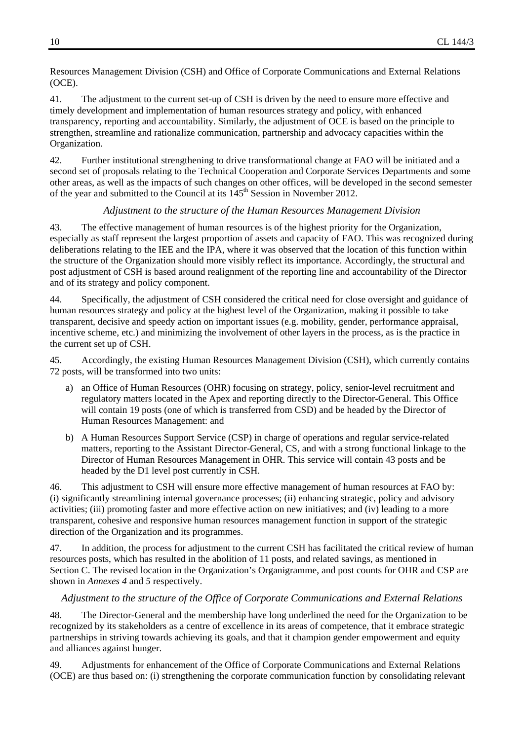Resources Management Division (CSH) and Office of Corporate Communications and External Relations (OCE).

41. The adjustment to the current set-up of CSH is driven by the need to ensure more effective and timely development and implementation of human resources strategy and policy, with enhanced transparency, reporting and accountability. Similarly, the adjustment of OCE is based on the principle to strengthen, streamline and rationalize communication, partnership and advocacy capacities within the Organization.

42. Further institutional strengthening to drive transformational change at FAO will be initiated and a second set of proposals relating to the Technical Cooperation and Corporate Services Departments and some other areas, as well as the impacts of such changes on other offices, will be developed in the second semester of the year and submitted to the Council at its 145<sup>th</sup> Session in November 2012.

#### *Adjustment to the structure of the Human Resources Management Division*

43. The effective management of human resources is of the highest priority for the Organization, especially as staff represent the largest proportion of assets and capacity of FAO. This was recognized during deliberations relating to the IEE and the IPA, where it was observed that the location of this function within the structure of the Organization should more visibly reflect its importance. Accordingly, the structural and post adjustment of CSH is based around realignment of the reporting line and accountability of the Director and of its strategy and policy component.

44. Specifically, the adjustment of CSH considered the critical need for close oversight and guidance of human resources strategy and policy at the highest level of the Organization, making it possible to take transparent, decisive and speedy action on important issues (e.g. mobility, gender, performance appraisal, incentive scheme, etc.) and minimizing the involvement of other layers in the process, as is the practice in the current set up of CSH.

45. Accordingly, the existing Human Resources Management Division (CSH), which currently contains 72 posts, will be transformed into two units:

- a) an Office of Human Resources (OHR) focusing on strategy, policy, senior-level recruitment and regulatory matters located in the Apex and reporting directly to the Director-General. This Office will contain 19 posts (one of which is transferred from CSD) and be headed by the Director of Human Resources Management: and
- b) A Human Resources Support Service (CSP) in charge of operations and regular service-related matters, reporting to the Assistant Director-General, CS, and with a strong functional linkage to the Director of Human Resources Management in OHR. This service will contain 43 posts and be headed by the D1 level post currently in CSH.

46. This adjustment to CSH will ensure more effective management of human resources at FAO by: (i) significantly streamlining internal governance processes; (ii) enhancing strategic, policy and advisory activities; (iii) promoting faster and more effective action on new initiatives; and (iv) leading to a more transparent, cohesive and responsive human resources management function in support of the strategic direction of the Organization and its programmes.

47. In addition, the process for adjustment to the current CSH has facilitated the critical review of human resources posts, which has resulted in the abolition of 11 posts, and related savings, as mentioned in Section C. The revised location in the Organization's Organigramme, and post counts for OHR and CSP are shown in *Annexes 4* and *5* respectively.

#### *Adjustment to the structure of the Office of Corporate Communications and External Relations*

48. The Director-General and the membership have long underlined the need for the Organization to be recognized by its stakeholders as a centre of excellence in its areas of competence, that it embrace strategic partnerships in striving towards achieving its goals, and that it champion gender empowerment and equity and alliances against hunger.

49. Adjustments for enhancement of the Office of Corporate Communications and External Relations (OCE) are thus based on: (i) strengthening the corporate communication function by consolidating relevant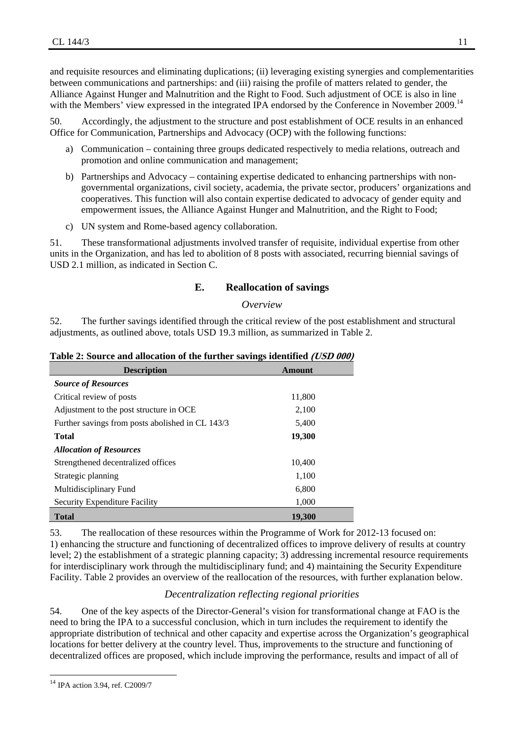and requisite resources and eliminating duplications; (ii) leveraging existing synergies and complementarities between communications and partnerships: and (iii) raising the profile of matters related to gender, the Alliance Against Hunger and Malnutrition and the Right to Food. Such adjustment of OCE is also in line with the Members' view expressed in the integrated IPA endorsed by the Conference in November 2009.<sup>14</sup>

50. Accordingly, the adjustment to the structure and post establishment of OCE results in an enhanced Office for Communication, Partnerships and Advocacy (OCP) with the following functions:

- a) Communication containing three groups dedicated respectively to media relations, outreach and promotion and online communication and management;
- b) Partnerships and Advocacy containing expertise dedicated to enhancing partnerships with nongovernmental organizations, civil society, academia, the private sector, producers' organizations and cooperatives. This function will also contain expertise dedicated to advocacy of gender equity and empowerment issues, the Alliance Against Hunger and Malnutrition, and the Right to Food;
- c) UN system and Rome-based agency collaboration.

51. These transformational adjustments involved transfer of requisite, individual expertise from other units in the Organization, and has led to abolition of 8 posts with associated, recurring biennial savings of USD 2.1 million, as indicated in Section C.

#### **E. Reallocation of savings**

#### *Overview*

52. The further savings identified through the critical review of the post establishment and structural adjustments, as outlined above, totals USD 19.3 million, as summarized in Table 2.

| Table 2: Source and allocation of the further savings identified (USD 000) |  |  |  |  |  |  |  |
|----------------------------------------------------------------------------|--|--|--|--|--|--|--|
|----------------------------------------------------------------------------|--|--|--|--|--|--|--|

| <b>Description</b>                               | Amount |
|--------------------------------------------------|--------|
| <b>Source of Resources</b>                       |        |
| Critical review of posts                         | 11,800 |
| Adjustment to the post structure in OCE          | 2,100  |
| Further savings from posts abolished in CL 143/3 | 5,400  |
| <b>Total</b>                                     | 19,300 |
| <b>Allocation of Resources</b>                   |        |
| Strengthened decentralized offices               | 10,400 |
| Strategic planning                               | 1,100  |
| Multidisciplinary Fund                           | 6,800  |
| Security Expenditure Facility                    | 1,000  |
| <b>Total</b>                                     | 19.300 |

53. The reallocation of these resources within the Programme of Work for 2012-13 focused on: 1) enhancing the structure and functioning of decentralized offices to improve delivery of results at country level; 2) the establishment of a strategic planning capacity; 3) addressing incremental resource requirements for interdisciplinary work through the multidisciplinary fund; and 4) maintaining the Security Expenditure Facility. Table 2 provides an overview of the reallocation of the resources, with further explanation below.

#### *Decentralization reflecting regional priorities*

54. One of the key aspects of the Director-General's vision for transformational change at FAO is the need to bring the IPA to a successful conclusion, which in turn includes the requirement to identify the appropriate distribution of technical and other capacity and expertise across the Organization's geographical locations for better delivery at the country level. Thus, improvements to the structure and functioning of decentralized offices are proposed, which include improving the performance, results and impact of all of

<sup>14</sup> IPA action 3.94, ref. C2009/7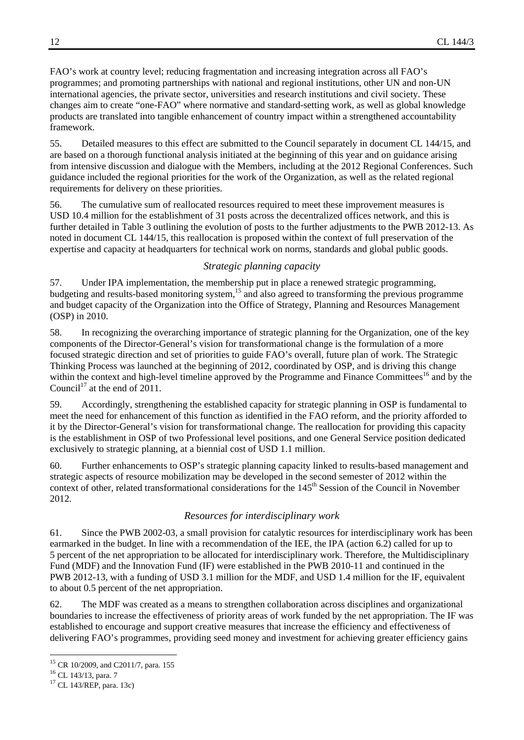FAO's work at country level; reducing fragmentation and increasing integration across all FAO's programmes; and promoting partnerships with national and regional institutions, other UN and non-UN international agencies, the private sector, universities and research institutions and civil society. These changes aim to create "one-FAO" where normative and standard-setting work, as well as global knowledge products are translated into tangible enhancement of country impact within a strengthened accountability framework.

55. Detailed measures to this effect are submitted to the Council separately in document CL 144/15, and are based on a thorough functional analysis initiated at the beginning of this year and on guidance arising from intensive discussion and dialogue with the Members, including at the 2012 Regional Conferences. Such guidance included the regional priorities for the work of the Organization, as well as the related regional requirements for delivery on these priorities.

56. The cumulative sum of reallocated resources required to meet these improvement measures is USD 10.4 million for the establishment of 31 posts across the decentralized offices network, and this is further detailed in Table 3 outlining the evolution of posts to the further adjustments to the PWB 2012-13. As noted in document CL 144/15, this reallocation is proposed within the context of full preservation of the expertise and capacity at headquarters for technical work on norms, standards and global public goods.

#### *Strategic planning capacity*

57. Under IPA implementation, the membership put in place a renewed strategic programming, budgeting and results-based monitoring system,  $15$  and also agreed to transforming the previous programme and budget capacity of the Organization into the Office of Strategy, Planning and Resources Management (OSP) in 2010.

58. In recognizing the overarching importance of strategic planning for the Organization, one of the key components of the Director-General's vision for transformational change is the formulation of a more focused strategic direction and set of priorities to guide FAO's overall, future plan of work. The Strategic Thinking Process was launched at the beginning of 2012, coordinated by OSP, and is driving this change within the context and high-level timeline approved by the Programme and Finance Committees<sup>16</sup> and by the Council<sup>17</sup> at the end of 2011.

59. Accordingly, strengthening the established capacity for strategic planning in OSP is fundamental to meet the need for enhancement of this function as identified in the FAO reform, and the priority afforded to it by the Director-General's vision for transformational change. The reallocation for providing this capacity is the establishment in OSP of two Professional level positions, and one General Service position dedicated exclusively to strategic planning, at a biennial cost of USD 1.1 million.

60. Further enhancements to OSP's strategic planning capacity linked to results-based management and strategic aspects of resource mobilization may be developed in the second semester of 2012 within the context of other, related transformational considerations for the 145<sup>th</sup> Session of the Council in November 2012.

#### *Resources for interdisciplinary work*

61. Since the PWB 2002-03, a small provision for catalytic resources for interdisciplinary work has been earmarked in the budget. In line with a recommendation of the IEE, the IPA (action 6.2) called for up to 5 percent of the net appropriation to be allocated for interdisciplinary work. Therefore, the Multidisciplinary Fund (MDF) and the Innovation Fund (IF) were established in the PWB 2010-11 and continued in the PWB 2012-13, with a funding of USD 3.1 million for the MDF, and USD 1.4 million for the IF, equivalent to about 0.5 percent of the net appropriation.

62. The MDF was created as a means to strengthen collaboration across disciplines and organizational boundaries to increase the effectiveness of priority areas of work funded by the net appropriation. The IF was established to encourage and support creative measures that increase the efficiency and effectiveness of delivering FAO's programmes, providing seed money and investment for achieving greater efficiency gains

 <sup>15</sup> CR 10/2009, and C2011/7, para. 155<br><sup>16</sup> CL 143/13, para. 7

 $17$  CL 143/REP, para. 13c)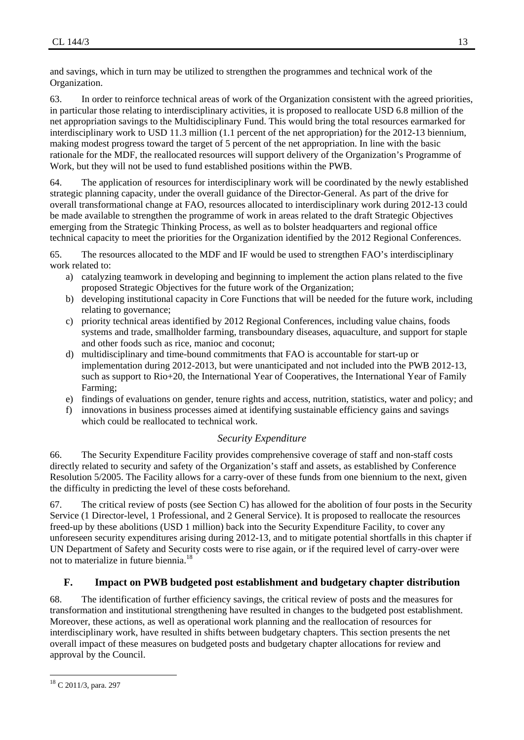and savings, which in turn may be utilized to strengthen the programmes and technical work of the Organization.

63. In order to reinforce technical areas of work of the Organization consistent with the agreed priorities, in particular those relating to interdisciplinary activities, it is proposed to reallocate USD 6.8 million of the net appropriation savings to the Multidisciplinary Fund. This would bring the total resources earmarked for interdisciplinary work to USD 11.3 million (1.1 percent of the net appropriation) for the 2012-13 biennium, making modest progress toward the target of 5 percent of the net appropriation. In line with the basic rationale for the MDF, the reallocated resources will support delivery of the Organization's Programme of Work, but they will not be used to fund established positions within the PWB.

64. The application of resources for interdisciplinary work will be coordinated by the newly established strategic planning capacity, under the overall guidance of the Director-General. As part of the drive for overall transformational change at FAO, resources allocated to interdisciplinary work during 2012-13 could be made available to strengthen the programme of work in areas related to the draft Strategic Objectives emerging from the Strategic Thinking Process, as well as to bolster headquarters and regional office technical capacity to meet the priorities for the Organization identified by the 2012 Regional Conferences.

65. The resources allocated to the MDF and IF would be used to strengthen FAO's interdisciplinary work related to:

- a) catalyzing teamwork in developing and beginning to implement the action plans related to the five proposed Strategic Objectives for the future work of the Organization;
- b) developing institutional capacity in Core Functions that will be needed for the future work, including relating to governance;
- c) priority technical areas identified by 2012 Regional Conferences, including value chains, foods systems and trade, smallholder farming, transboundary diseases, aquaculture, and support for staple and other foods such as rice, manioc and coconut;
- d) multidisciplinary and time-bound commitments that FAO is accountable for start-up or implementation during 2012-2013, but were unanticipated and not included into the PWB 2012-13, such as support to Rio+20, the International Year of Cooperatives, the International Year of Family Farming;
- e) findings of evaluations on gender, tenure rights and access, nutrition, statistics, water and policy; and
- f) innovations in business processes aimed at identifying sustainable efficiency gains and savings which could be reallocated to technical work.

#### *Security Expenditure*

66. The Security Expenditure Facility provides comprehensive coverage of staff and non-staff costs directly related to security and safety of the Organization's staff and assets, as established by Conference Resolution 5/2005. The Facility allows for a carry-over of these funds from one biennium to the next, given the difficulty in predicting the level of these costs beforehand.

67. The critical review of posts (see Section C) has allowed for the abolition of four posts in the Security Service (1 Director-level, 1 Professional, and 2 General Service). It is proposed to reallocate the resources freed-up by these abolitions (USD 1 million) back into the Security Expenditure Facility, to cover any unforeseen security expenditures arising during 2012-13, and to mitigate potential shortfalls in this chapter if UN Department of Safety and Security costs were to rise again, or if the required level of carry-over were not to materialize in future biennia.<sup>18</sup>

#### **F. Impact on PWB budgeted post establishment and budgetary chapter distribution**

68. The identification of further efficiency savings, the critical review of posts and the measures for transformation and institutional strengthening have resulted in changes to the budgeted post establishment. Moreover, these actions, as well as operational work planning and the reallocation of resources for interdisciplinary work, have resulted in shifts between budgetary chapters. This section presents the net overall impact of these measures on budgeted posts and budgetary chapter allocations for review and approval by the Council.

 <sup>18</sup> C 2011/3, para. 297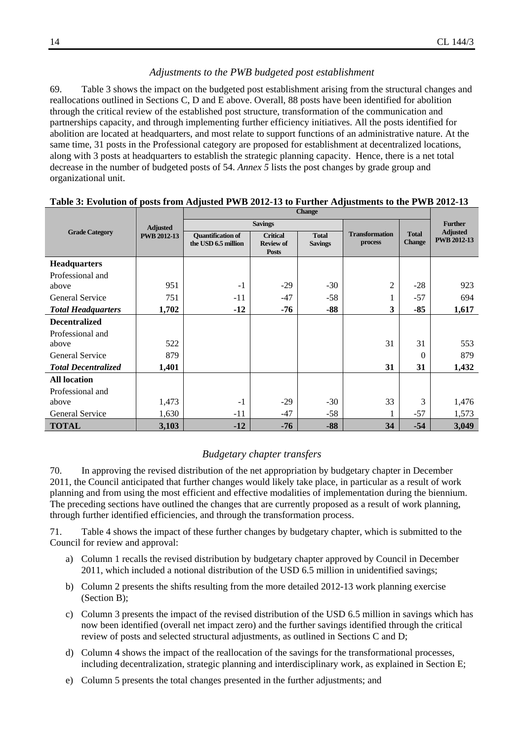#### *Adjustments to the PWB budgeted post establishment*

69. Table 3 shows the impact on the budgeted post establishment arising from the structural changes and reallocations outlined in Sections C, D and E above. Overall, 88 posts have been identified for abolition through the critical review of the established post structure, transformation of the communication and partnerships capacity, and through implementing further efficiency initiatives. All the posts identified for abolition are located at headquarters, and most relate to support functions of an administrative nature. At the same time, 31 posts in the Professional category are proposed for establishment at decentralized locations, along with 3 posts at headquarters to establish the strategic planning capacity. Hence, there is a net total decrease in the number of budgeted posts of 54. *Annex 5* lists the post changes by grade group and organizational unit.

|                            | <b>Adjusted</b>    |                                                 | <b>Savings</b>                                      |                                |                                  |                               | <b>Further</b>                        |
|----------------------------|--------------------|-------------------------------------------------|-----------------------------------------------------|--------------------------------|----------------------------------|-------------------------------|---------------------------------------|
| <b>Grade Category</b>      | <b>PWB 2012-13</b> | <b>Quantification of</b><br>the USD 6.5 million | <b>Critical</b><br><b>Review of</b><br><b>Posts</b> | <b>Total</b><br><b>Savings</b> | <b>Transformation</b><br>process | <b>Total</b><br><b>Change</b> | <b>Adjusted</b><br><b>PWB 2012-13</b> |
| <b>Headquarters</b>        |                    |                                                 |                                                     |                                |                                  |                               |                                       |
| Professional and           |                    |                                                 |                                                     |                                |                                  |                               |                                       |
| above                      | 951                | $-1$                                            | $-29$                                               | $-30$                          | $\overline{c}$                   | $-28$                         | 923                                   |
| <b>General Service</b>     | 751                | $-11$                                           | $-47$                                               | $-58$                          | 1                                | $-57$                         | 694                                   |
| <b>Total Headquarters</b>  | 1,702              | $-12$                                           | -76                                                 | $-88$                          | 3                                | $-85$                         | 1,617                                 |
| <b>Decentralized</b>       |                    |                                                 |                                                     |                                |                                  |                               |                                       |
| Professional and           |                    |                                                 |                                                     |                                |                                  |                               |                                       |
| above                      | 522                |                                                 |                                                     |                                | 31                               | 31                            | 553                                   |
| <b>General Service</b>     | 879                |                                                 |                                                     |                                |                                  | $\Omega$                      | 879                                   |
| <b>Total Decentralized</b> | 1,401              |                                                 |                                                     |                                | 31                               | 31                            | 1,432                                 |
| <b>All location</b>        |                    |                                                 |                                                     |                                |                                  |                               |                                       |
| Professional and           |                    |                                                 |                                                     |                                |                                  |                               |                                       |
| above                      | 1,473              | $-1$                                            | $-29$                                               | $-30$                          | 33                               | 3                             | 1,476                                 |
| General Service            | 1,630              | $-11$                                           | $-47$                                               | $-58$                          | 1                                | $-57$                         | 1,573                                 |
| <b>TOTAL</b>               | 3,103              | $-12$                                           | $-76$                                               | $-88$                          | 34                               | $-54$                         | 3,049                                 |

#### **Table 3: Evolution of posts from Adjusted PWB 2012-13 to Further Adjustments to the PWB 2012-13**

#### *Budgetary chapter transfers*

70. In approving the revised distribution of the net appropriation by budgetary chapter in December 2011, the Council anticipated that further changes would likely take place, in particular as a result of work planning and from using the most efficient and effective modalities of implementation during the biennium. The preceding sections have outlined the changes that are currently proposed as a result of work planning, through further identified efficiencies, and through the transformation process.

71. Table 4 shows the impact of these further changes by budgetary chapter, which is submitted to the Council for review and approval:

- a) Column 1 recalls the revised distribution by budgetary chapter approved by Council in December 2011, which included a notional distribution of the USD 6.5 million in unidentified savings;
- b) Column 2 presents the shifts resulting from the more detailed 2012-13 work planning exercise (Section B);
- c) Column 3 presents the impact of the revised distribution of the USD 6.5 million in savings which has now been identified (overall net impact zero) and the further savings identified through the critical review of posts and selected structural adjustments, as outlined in Sections C and D;
- d) Column 4 shows the impact of the reallocation of the savings for the transformational processes, including decentralization, strategic planning and interdisciplinary work, as explained in Section E;
- e) Column 5 presents the total changes presented in the further adjustments; and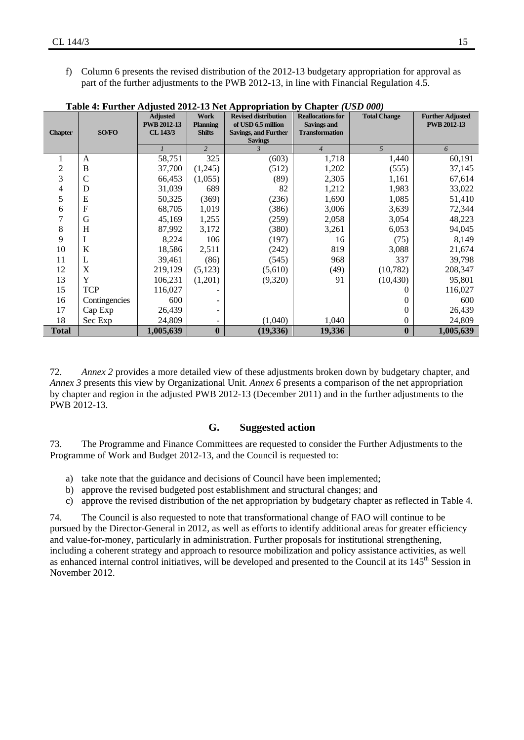f) Column 6 presents the revised distribution of the 2012-13 budgetary appropriation for approval as part of the further adjustments to the PWB 2012-13, in line with Financial Regulation 4.5.

|                |               | <b>Adjusted</b><br><b>PWB 2012-13</b> | <b>Work</b><br><b>Planning</b> | <b>Revised distribution</b><br>of USD 6.5 million | <b>Reallocations for</b><br><b>Savings and</b> | <b>Total Change</b> | <b>Further Adjusted</b><br><b>PWB 2012-13</b> |
|----------------|---------------|---------------------------------------|--------------------------------|---------------------------------------------------|------------------------------------------------|---------------------|-----------------------------------------------|
| <b>Chapter</b> | SO/FO         | CL 143/3                              | <b>Shifts</b>                  | <b>Savings, and Further</b>                       | <b>Transformation</b>                          |                     |                                               |
|                |               |                                       |                                | <b>Savings</b>                                    |                                                |                     |                                               |
|                |               |                                       | $\overline{2}$                 | $\overline{3}$                                    | $\overline{4}$                                 | 5                   | 6                                             |
| 1              | $\mathsf{A}$  | 58,751                                | 325                            | (603)                                             | 1,718                                          | 1,440               | 60,191                                        |
| $\overline{c}$ | B             | 37,700                                | (1,245)                        | (512)                                             | 1,202                                          | (555)               | 37,145                                        |
| 3              | C             | 66,453                                | (1,055)                        | (89)                                              | 2,305                                          | 1,161               | 67,614                                        |
| 4              | D             | 31,039                                | 689                            | 82                                                | 1,212                                          | 1,983               | 33,022                                        |
| 5              | E             | 50,325                                | (369)                          | (236)                                             | 1,690                                          | 1,085               | 51,410                                        |
| 6              | F             | 68,705                                | 1,019                          | (386)                                             | 3,006                                          | 3,639               | 72,344                                        |
| 7              | G             | 45,169                                | 1,255                          | (259)                                             | 2,058                                          | 3,054               | 48,223                                        |
| 8              | H             | 87,992                                | 3,172                          | (380)                                             | 3,261                                          | 6,053               | 94,045                                        |
| 9              | 1             | 8,224                                 | 106                            | (197)                                             | 16                                             | (75)                | 8,149                                         |
| 10             | K             | 18,586                                | 2,511                          | (242)                                             | 819                                            | 3,088               | 21,674                                        |
| 11             | L             | 39,461                                | (86)                           | (545)                                             | 968                                            | 337                 | 39,798                                        |
| 12             | X             | 219,129                               | (5,123)                        | (5,610)                                           | (49)                                           | (10, 782)           | 208,347                                       |
| 13             | Y             | 106,231                               | (1,201)                        | (9,320)                                           | 91                                             | (10, 430)           | 95,801                                        |
| 15             | <b>TCP</b>    | 116,027                               |                                |                                                   |                                                | 0                   | 116,027                                       |
| 16             | Contingencies | 600                                   |                                |                                                   |                                                | $\Omega$            | 600                                           |
| 17             | Cap Exp       | 26,439                                |                                |                                                   |                                                | $\mathbf{0}$        | 26,439                                        |
| 18             | Sec Exp       | 24,809                                | Ξ.                             | (1,040)                                           | 1,040                                          | $\mathbf{0}$        | 24,809                                        |
| <b>Total</b>   |               | 1,005,639                             | $\bf{0}$                       | (19, 336)                                         | 19,336                                         | $\bf{0}$            | 1,005,639                                     |

**Table 4: Further Adjusted 2012-13 Net Appropriation by Chapter** *(USD 000)*

72. *Annex 2* provides a more detailed view of these adjustments broken down by budgetary chapter, and *Annex 3* presents this view by Organizational Unit. *Annex 6* presents a comparison of the net appropriation by chapter and region in the adjusted PWB 2012-13 (December 2011) and in the further adjustments to the PWB 2012-13.

#### **G. Suggested action**

73. The Programme and Finance Committees are requested to consider the Further Adjustments to the Programme of Work and Budget 2012-13, and the Council is requested to:

- a) take note that the guidance and decisions of Council have been implemented;
- b) approve the revised budgeted post establishment and structural changes; and
- c) approve the revised distribution of the net appropriation by budgetary chapter as reflected in Table 4.

74. The Council is also requested to note that transformational change of FAO will continue to be pursued by the Director-General in 2012, as well as efforts to identify additional areas for greater efficiency and value-for-money, particularly in administration. Further proposals for institutional strengthening, including a coherent strategy and approach to resource mobilization and policy assistance activities, as well as enhanced internal control initiatives, will be developed and presented to the Council at its 145<sup>th</sup> Session in November 2012.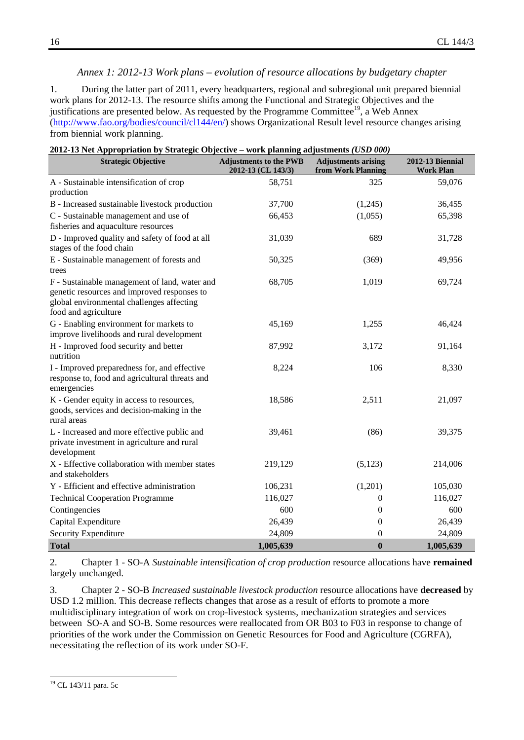#### *Annex 1: 2012-13 Work plans – evolution of resource allocations by budgetary chapter*

1. During the latter part of 2011, every headquarters, regional and subregional unit prepared biennial work plans for 2012-13. The resource shifts among the Functional and Strategic Objectives and the justifications are presented below. As requested by the Programme Committee<sup>19</sup>, a Web Annex (http://www.fao.org/bodies/council/cl144/en/) shows Organizational Result level resource changes arising from biennial work planning.

| <b>Strategic Objective</b>                                                                                                                                        | $\cdots$ $\cdots$ $\cdots$ $\cdots$<br><b>Adjustments to the PWB</b><br>2012-13 (CL 143/3) | <b>Adjustments arising</b><br>from Work Planning | <b>2012-13 Biennial</b><br><b>Work Plan</b> |
|-------------------------------------------------------------------------------------------------------------------------------------------------------------------|--------------------------------------------------------------------------------------------|--------------------------------------------------|---------------------------------------------|
| A - Sustainable intensification of crop<br>production                                                                                                             | 58,751                                                                                     | 325                                              | 59,076                                      |
| B - Increased sustainable livestock production                                                                                                                    | 37,700                                                                                     | (1,245)                                          | 36,455                                      |
| C - Sustainable management and use of<br>fisheries and aquaculture resources                                                                                      | 66,453                                                                                     | (1,055)                                          | 65,398                                      |
| D - Improved quality and safety of food at all<br>stages of the food chain                                                                                        | 31,039                                                                                     | 689                                              | 31,728                                      |
| E - Sustainable management of forests and<br>trees                                                                                                                | 50,325                                                                                     | (369)                                            | 49,956                                      |
| F - Sustainable management of land, water and<br>genetic resources and improved responses to<br>global environmental challenges affecting<br>food and agriculture | 68,705                                                                                     | 1,019                                            | 69,724                                      |
| G - Enabling environment for markets to<br>improve livelihoods and rural development                                                                              | 45,169                                                                                     | 1,255                                            | 46,424                                      |
| H - Improved food security and better<br>nutrition                                                                                                                | 87,992                                                                                     | 3,172                                            | 91,164                                      |
| I - Improved preparedness for, and effective<br>response to, food and agricultural threats and<br>emergencies                                                     | 8,224                                                                                      | 106                                              | 8,330                                       |
| K - Gender equity in access to resources,<br>goods, services and decision-making in the<br>rural areas                                                            | 18,586                                                                                     | 2,511                                            | 21,097                                      |
| L - Increased and more effective public and<br>private investment in agriculture and rural<br>development                                                         | 39,461                                                                                     | (86)                                             | 39,375                                      |
| X - Effective collaboration with member states<br>and stakeholders                                                                                                | 219,129                                                                                    | (5, 123)                                         | 214,006                                     |
| Y - Efficient and effective administration                                                                                                                        | 106,231                                                                                    | (1,201)                                          | 105,030                                     |
| <b>Technical Cooperation Programme</b>                                                                                                                            | 116,027                                                                                    | 0                                                | 116,027                                     |
| Contingencies                                                                                                                                                     | 600                                                                                        | $\boldsymbol{0}$                                 | 600                                         |
| Capital Expenditure                                                                                                                                               | 26,439                                                                                     | $\mathbf{0}$                                     | 26,439                                      |
| Security Expenditure                                                                                                                                              | 24,809                                                                                     | $\boldsymbol{0}$                                 | 24,809                                      |
| <b>Total</b>                                                                                                                                                      | 1,005,639                                                                                  | $\bf{0}$                                         | 1,005,639                                   |

| 2012-13 Net Appropriation by Strategic Objective – work planning adjustments (USD 000) |  |
|----------------------------------------------------------------------------------------|--|

2. Chapter 1 - SO-A *Sustainable intensification of crop production* resource allocations have **remained** largely unchanged.

3. Chapter 2 - SO-B *Increased sustainable livestock production* resource allocations have **decreased** by USD 1.2 million. This decrease reflects changes that arose as a result of efforts to promote a more multidisciplinary integration of work on crop-livestock systems, mechanization strategies and services between SO-A and SO-B. Some resources were reallocated from OR B03 to F03 in response to change of priorities of the work under the Commission on Genetic Resources for Food and Agriculture (CGRFA), necessitating the reflection of its work under SO-F.

 <sup>19</sup> CL 143/11 para. 5c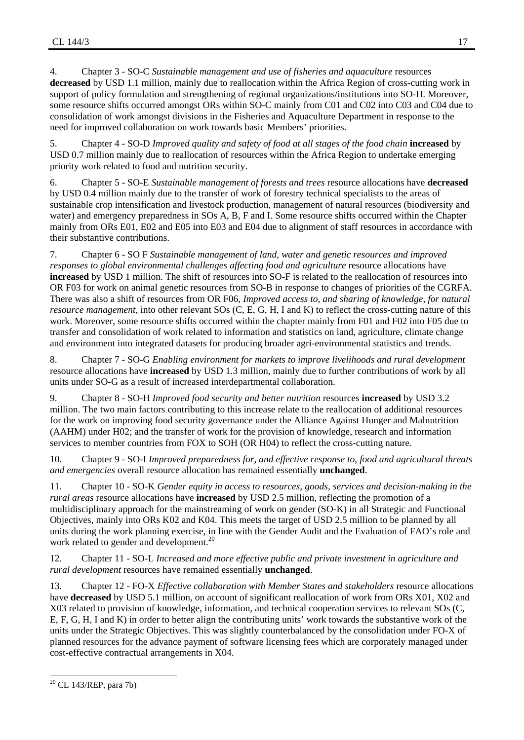4. Chapter 3 - SO-C *Sustainable management and use of fisheries and aquaculture* resources **decreased** by USD 1.1 million, mainly due to reallocation within the Africa Region of cross-cutting work in support of policy formulation and strengthening of regional organizations/institutions into SO-H. Moreover, some resource shifts occurred amongst ORs within SO-C mainly from C01 and C02 into C03 and C04 due to consolidation of work amongst divisions in the Fisheries and Aquaculture Department in response to the need for improved collaboration on work towards basic Members' priorities.

5. Chapter 4 - SO-D *Improved quality and safety of food at all stages of the food chain* **increased** by USD 0.7 million mainly due to reallocation of resources within the Africa Region to undertake emerging priority work related to food and nutrition security.

6. Chapter 5 - SO-E *Sustainable management of forests and trees* resource allocations have **decreased** by USD 0.4 million mainly due to the transfer of work of forestry technical specialists to the areas of sustainable crop intensification and livestock production, management of natural resources (biodiversity and water) and emergency preparedness in SOs A, B, F and I. Some resource shifts occurred within the Chapter mainly from ORs E01, E02 and E05 into E03 and E04 due to alignment of staff resources in accordance with their substantive contributions.

7. Chapter 6 - SO F *Sustainable management of land, water and genetic resources and improved responses to global environmental challenges affecting food and agriculture* resource allocations have **increased** by USD 1 million. The shift of resources into SO-F is related to the reallocation of resources into OR F03 for work on animal genetic resources from SO-B in response to changes of priorities of the CGRFA. There was also a shift of resources from OR F06, *Improved access to, and sharing of knowledge, for natural resource management*, into other relevant SOs (C, E, G, H, I and K) to reflect the cross-cutting nature of this work. Moreover, some resource shifts occurred within the chapter mainly from F01 and F02 into F05 due to transfer and consolidation of work related to information and statistics on land, agriculture, climate change and environment into integrated datasets for producing broader agri-environmental statistics and trends.

8. Chapter 7 - SO-G *Enabling environment for markets to improve livelihoods and rural development* resource allocations have **increased** by USD 1.3 million, mainly due to further contributions of work by all units under SO-G as a result of increased interdepartmental collaboration.

9. Chapter 8 - SO-H *Improved food security and better nutrition* resources **increased** by USD 3.2 million. The two main factors contributing to this increase relate to the reallocation of additional resources for the work on improving food security governance under the Alliance Against Hunger and Malnutrition (AAHM) under H02; and the transfer of work for the provision of knowledge, research and information services to member countries from FOX to SOH (OR H04) to reflect the cross-cutting nature.

10. Chapter 9 - SO-I *Improved preparedness for, and effective response to, food and agricultural threats and emergencies* overall resource allocation has remained essentially **unchanged**.

11. Chapter 10 - SO-K *Gender equity in access to resources, goods, services and decision-making in the rural areas* resource allocations have **increased** by USD 2.5 million, reflecting the promotion of a multidisciplinary approach for the mainstreaming of work on gender (SO-K) in all Strategic and Functional Objectives, mainly into ORs K02 and K04. This meets the target of USD 2.5 million to be planned by all units during the work planning exercise, in line with the Gender Audit and the Evaluation of FAO's role and work related to gender and development.<sup>20</sup>

12. Chapter 11 - SO-L *Increased and more effective public and private investment in agriculture and rural development* resources have remained essentially **unchanged**.

13. Chapter 12 - FO-X *Effective collaboration with Member States and stakeholders* resource allocations have **decreased** by USD 5.1 million, on account of significant reallocation of work from ORs X01, X02 and X03 related to provision of knowledge, information, and technical cooperation services to relevant SOs (C, E, F, G, H, I and K) in order to better align the contributing units' work towards the substantive work of the units under the Strategic Objectives. This was slightly counterbalanced by the consolidation under FO-X of planned resources for the advance payment of software licensing fees which are corporately managed under cost-effective contractual arrangements in X04.

 20 CL 143/REP, para 7b)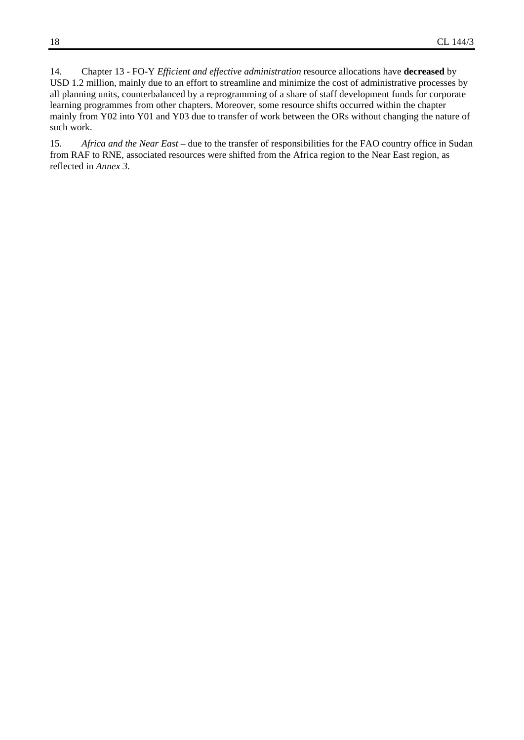14. Chapter 13 - FO-Y *Efficient and effective administration* resource allocations have **decreased** by USD 1.2 million, mainly due to an effort to streamline and minimize the cost of administrative processes by all planning units, counterbalanced by a reprogramming of a share of staff development funds for corporate learning programmes from other chapters. Moreover, some resource shifts occurred within the chapter mainly from Y02 into Y01 and Y03 due to transfer of work between the ORs without changing the nature of such work.

15. *Africa and the Near East* – due to the transfer of responsibilities for the FAO country office in Sudan from RAF to RNE, associated resources were shifted from the Africa region to the Near East region, as reflected in *Annex 3*.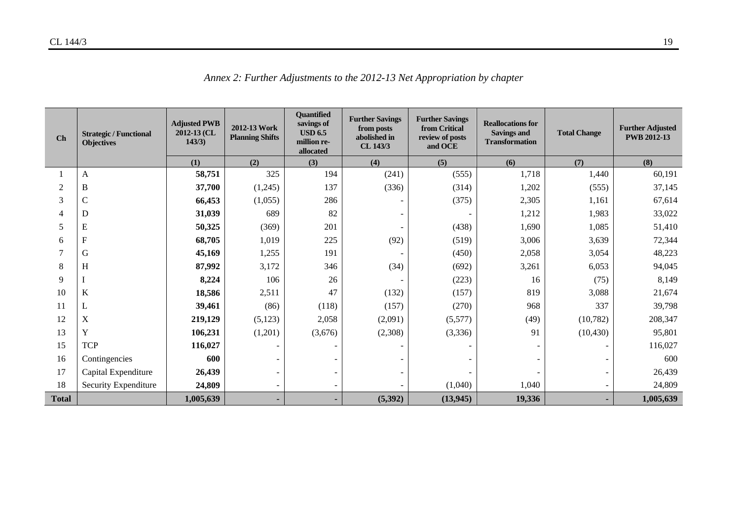| Ch             | <b>Strategic / Functional</b><br><b>Objectives</b> | <b>Adjusted PWB</b><br>2012-13 (CL<br>143/3) | 2012-13 Work<br><b>Planning Shifts</b> | <b>Ouantified</b><br>savings of<br><b>USD 6.5</b><br>million re-<br>allocated | <b>Further Savings</b><br>from posts<br>abolished in<br>CL 143/3 | <b>Further Savings</b><br>from Critical<br>review of posts<br>and OCE | <b>Reallocations for</b><br><b>Savings and</b><br><b>Transformation</b> | <b>Total Change</b> | <b>Further Adjusted</b><br><b>PWB 2012-13</b> |
|----------------|----------------------------------------------------|----------------------------------------------|----------------------------------------|-------------------------------------------------------------------------------|------------------------------------------------------------------|-----------------------------------------------------------------------|-------------------------------------------------------------------------|---------------------|-----------------------------------------------|
|                |                                                    | (1)                                          | (2)                                    | (3)                                                                           | (4)                                                              | (5)                                                                   | (6)                                                                     | (7)                 | (8)                                           |
|                | A                                                  | 58,751                                       | 325                                    | 194                                                                           | (241)                                                            | (555)                                                                 | 1,718                                                                   | 1,440               | 60,191                                        |
| $\overline{2}$ | $\, {\bf B}$                                       | 37,700                                       | (1,245)                                | 137                                                                           | (336)                                                            | (314)                                                                 | 1,202                                                                   | (555)               | 37,145                                        |
| 3              | $\mathbf C$                                        | 66,453                                       | (1,055)                                | 286                                                                           |                                                                  | (375)                                                                 | 2,305                                                                   | 1,161               | 67,614                                        |
| 4              | D                                                  | 31,039                                       | 689                                    | 82                                                                            |                                                                  |                                                                       | 1,212                                                                   | 1,983               | 33,022                                        |
| 5              | E                                                  | 50,325                                       | (369)                                  | 201                                                                           |                                                                  | (438)                                                                 | 1,690                                                                   | 1,085               | 51,410                                        |
| 6              | ${\bf F}$                                          | 68,705                                       | 1,019                                  | 225                                                                           | (92)                                                             | (519)                                                                 | 3,006                                                                   | 3,639               | 72,344                                        |
|                | G                                                  | 45,169                                       | 1,255                                  | 191                                                                           |                                                                  | (450)                                                                 | 2,058                                                                   | 3,054               | 48,223                                        |
| 8              | H                                                  | 87,992                                       | 3,172                                  | 346                                                                           | (34)                                                             | (692)                                                                 | 3,261                                                                   | 6,053               | 94,045                                        |
| 9              |                                                    | 8,224                                        | 106                                    | 26                                                                            |                                                                  | (223)                                                                 | 16                                                                      | (75)                | 8,149                                         |
| 10             | K                                                  | 18,586                                       | 2,511                                  | 47                                                                            | (132)                                                            | (157)                                                                 | 819                                                                     | 3,088               | 21,674                                        |
| 11             | L                                                  | 39,461                                       | (86)                                   | (118)                                                                         | (157)                                                            | (270)                                                                 | 968                                                                     | 337                 | 39,798                                        |
| 12             | $\mathbf X$                                        | 219,129                                      | (5,123)                                | 2,058                                                                         | (2,091)                                                          | (5,577)                                                               | (49)                                                                    | (10, 782)           | 208,347                                       |
| 13             | $\mathbf Y$                                        | 106,231                                      | (1,201)                                | (3,676)                                                                       | (2,308)                                                          | (3,336)                                                               | 91                                                                      | (10, 430)           | 95,801                                        |
| 15             | <b>TCP</b>                                         | 116,027                                      |                                        |                                                                               |                                                                  |                                                                       |                                                                         |                     | 116,027                                       |
| 16             | Contingencies                                      | 600                                          |                                        |                                                                               |                                                                  |                                                                       |                                                                         |                     | 600                                           |
| 17             | Capital Expenditure                                | 26,439                                       |                                        |                                                                               |                                                                  |                                                                       |                                                                         |                     | 26,439                                        |
| 18             | Security Expenditure                               | 24,809                                       |                                        |                                                                               |                                                                  | (1,040)                                                               | 1,040                                                                   |                     | 24,809                                        |
| <b>Total</b>   |                                                    | 1,005,639                                    |                                        |                                                                               | (5,392)                                                          | (13, 945)                                                             | 19,336                                                                  |                     | 1,005,639                                     |

*Annex 2: Further Adjustments to the 2012-13 Net Appropriation by chapter*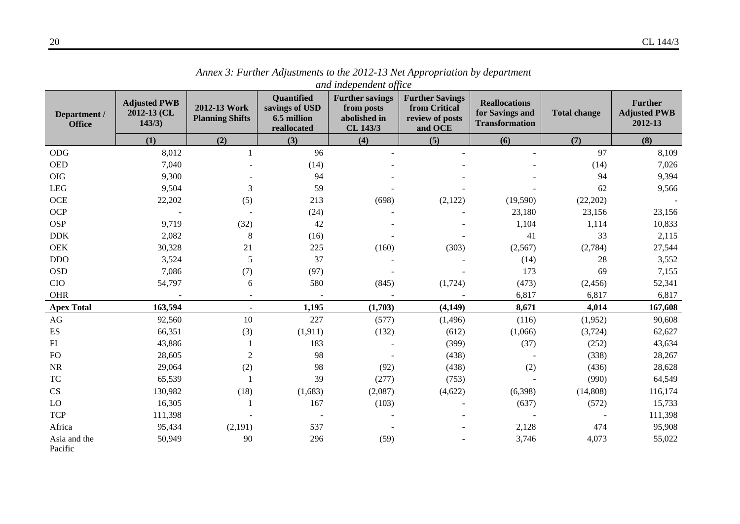|                               |                                              |                                        |                                                                   | and independent office                                           |                                                                       |                                                                  |                     |                                                  |
|-------------------------------|----------------------------------------------|----------------------------------------|-------------------------------------------------------------------|------------------------------------------------------------------|-----------------------------------------------------------------------|------------------------------------------------------------------|---------------------|--------------------------------------------------|
| Department /<br><b>Office</b> | <b>Adjusted PWB</b><br>2012-13 (CL<br>143/3) | 2012-13 Work<br><b>Planning Shifts</b> | <b>Quantified</b><br>savings of USD<br>6.5 million<br>reallocated | <b>Further savings</b><br>from posts<br>abolished in<br>CL 143/3 | <b>Further Savings</b><br>from Critical<br>review of posts<br>and OCE | <b>Reallocations</b><br>for Savings and<br><b>Transformation</b> | <b>Total change</b> | <b>Further</b><br><b>Adjusted PWB</b><br>2012-13 |
|                               | (1)                                          | (2)                                    | (3)                                                               | (4)                                                              | (5)                                                                   | (6)                                                              | (7)                 | (8)                                              |
| ODG                           | 8,012                                        |                                        | 96                                                                |                                                                  |                                                                       |                                                                  | 97                  | 8,109                                            |
| <b>OED</b>                    | 7,040                                        |                                        | (14)                                                              |                                                                  |                                                                       |                                                                  | (14)                | 7,026                                            |
| <b>OIG</b>                    | 9,300                                        |                                        | 94                                                                |                                                                  |                                                                       |                                                                  | 94                  | 9,394                                            |
| <b>LEG</b>                    | 9,504                                        | 3                                      | 59                                                                |                                                                  |                                                                       |                                                                  | 62                  | 9,566                                            |
| <b>OCE</b>                    | 22,202                                       | (5)                                    | 213                                                               | (698)                                                            | (2,122)                                                               | (19,590)                                                         | (22, 202)           |                                                  |
| <b>OCP</b>                    |                                              |                                        | (24)                                                              |                                                                  |                                                                       | 23,180                                                           | 23,156              | 23,156                                           |
| <b>OSP</b>                    | 9,719                                        | (32)                                   | 42                                                                |                                                                  |                                                                       | 1,104                                                            | 1,114               | 10,833                                           |
| <b>DDK</b>                    | 2,082                                        | $\,8\,$                                | (16)                                                              |                                                                  |                                                                       | 41                                                               | 33                  | 2,115                                            |
| <b>OEK</b>                    | 30,328                                       | 21                                     | 225                                                               | (160)                                                            | (303)                                                                 | (2,567)                                                          | (2,784)             | 27,544                                           |
| <b>DDO</b>                    | 3,524                                        | 5                                      | 37                                                                |                                                                  |                                                                       | (14)                                                             | 28                  | 3,552                                            |
| <b>OSD</b>                    | 7,086                                        | (7)                                    | (97)                                                              |                                                                  |                                                                       | 173                                                              | 69                  | 7,155                                            |
| <b>CIO</b>                    | 54,797                                       | 6                                      | 580                                                               | (845)                                                            | (1,724)                                                               | (473)                                                            | (2, 456)            | 52,341                                           |
| <b>OHR</b>                    |                                              |                                        |                                                                   |                                                                  |                                                                       | 6,817                                                            | 6,817               | 6,817                                            |
| <b>Apex Total</b>             | 163,594                                      |                                        | 1,195                                                             | (1,703)                                                          | (4, 149)                                                              | 8,671                                                            | 4,014               | 167,608                                          |
| $\rm{AG}$                     | 92,560                                       | 10                                     | 227                                                               | (577)                                                            | (1, 496)                                                              | (116)                                                            | (1,952)             | 90,608                                           |
| $\mathop{\hbox{\rm ES}}$      | 66,351                                       | (3)                                    | (1, 911)                                                          | (132)                                                            | (612)                                                                 | (1,066)                                                          | (3,724)             | 62,627                                           |
| FI                            | 43,886                                       |                                        | 183                                                               |                                                                  | (399)                                                                 | (37)                                                             | (252)               | 43,634                                           |
| <b>FO</b>                     | 28,605                                       | $\overline{2}$                         | 98                                                                |                                                                  | (438)                                                                 |                                                                  | (338)               | 28,267                                           |
| NR                            | 29,064                                       | (2)                                    | 98                                                                | (92)                                                             | (438)                                                                 | (2)                                                              | (436)               | 28,628                                           |
| <b>TC</b>                     | 65,539                                       |                                        | 39                                                                | (277)                                                            | (753)                                                                 |                                                                  | (990)               | 64,549                                           |
| CS                            | 130,982                                      | (18)                                   | (1,683)                                                           | (2,087)                                                          | (4,622)                                                               | (6,398)                                                          | (14, 808)           | 116,174                                          |
| LO                            | 16,305                                       |                                        | 167                                                               | (103)                                                            |                                                                       | (637)                                                            | (572)               | 15,733                                           |
| <b>TCP</b>                    | 111,398                                      |                                        |                                                                   |                                                                  |                                                                       |                                                                  |                     | 111,398                                          |
| Africa                        | 95,434                                       | (2,191)                                | 537                                                               |                                                                  |                                                                       | 2,128                                                            | 474                 | 95,908                                           |
| Asia and the<br>Pacific       | 50,949                                       | 90                                     | 296                                                               | (59)                                                             |                                                                       | 3,746                                                            | 4,073               | 55,022                                           |

*Annex 3: Further Adjustments to the 2012-13 Net Appropriation by department*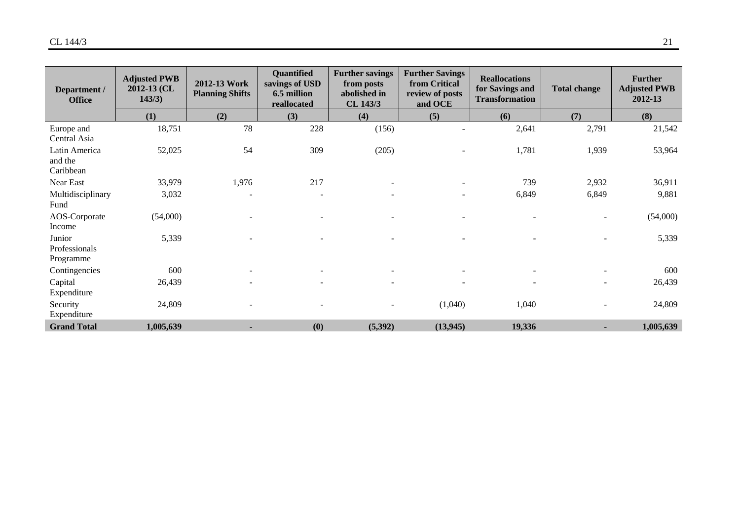| Department /<br><b>Office</b>         | <b>Adjusted PWB</b><br>$2012 - 13$ (CL<br>143/3) | 2012-13 Work<br><b>Planning Shifts</b> | Quantified<br>savings of USD<br>6.5 million<br>reallocated | <b>Further savings</b><br>from posts<br>abolished in<br>CL 143/3 | <b>Further Savings</b><br>from Critical<br>review of posts<br>and OCE | <b>Reallocations</b><br>for Savings and<br><b>Transformation</b> | <b>Total change</b>      | <b>Further</b><br><b>Adjusted PWB</b><br>2012-13 |
|---------------------------------------|--------------------------------------------------|----------------------------------------|------------------------------------------------------------|------------------------------------------------------------------|-----------------------------------------------------------------------|------------------------------------------------------------------|--------------------------|--------------------------------------------------|
|                                       | (1)                                              | (2)                                    | (3)                                                        | (4)                                                              | (5)                                                                   | (6)                                                              | (7)                      | (8)                                              |
| Europe and<br>Central Asia            | 18,751                                           | 78                                     | 228                                                        | (156)                                                            |                                                                       | 2,641                                                            | 2,791                    | 21,542                                           |
| Latin America<br>and the<br>Caribbean | 52,025                                           | 54                                     | 309                                                        | (205)                                                            |                                                                       | 1,781                                                            | 1,939                    | 53,964                                           |
| Near East                             | 33,979                                           | 1,976                                  | 217                                                        |                                                                  |                                                                       | 739                                                              | 2,932                    | 36,911                                           |
| Multidisciplinary<br>Fund             | 3,032                                            | $\overline{\phantom{0}}$               | $\overline{\phantom{a}}$                                   |                                                                  |                                                                       | 6,849                                                            | 6,849                    | 9,881                                            |
| AOS-Corporate<br>Income               | (54,000)                                         | $\overline{\phantom{a}}$               | $\overline{\phantom{a}}$                                   |                                                                  |                                                                       | $\sim$                                                           | $\blacksquare$           | (54,000)                                         |
| Junior<br>Professionals<br>Programme  | 5,339                                            |                                        |                                                            |                                                                  |                                                                       |                                                                  |                          | 5,339                                            |
| Contingencies                         | 600                                              |                                        |                                                            |                                                                  |                                                                       |                                                                  |                          | 600                                              |
| Capital<br>Expenditure                | 26,439                                           |                                        |                                                            |                                                                  |                                                                       | $\overline{\phantom{a}}$                                         | $\overline{\phantom{a}}$ | 26,439                                           |
| Security<br>Expenditure               | 24,809                                           |                                        |                                                            |                                                                  | (1,040)                                                               | 1,040                                                            |                          | 24,809                                           |
| <b>Grand Total</b>                    | 1,005,639                                        |                                        | (0)                                                        | (5, 392)                                                         | (13, 945)                                                             | 19,336                                                           |                          | 1,005,639                                        |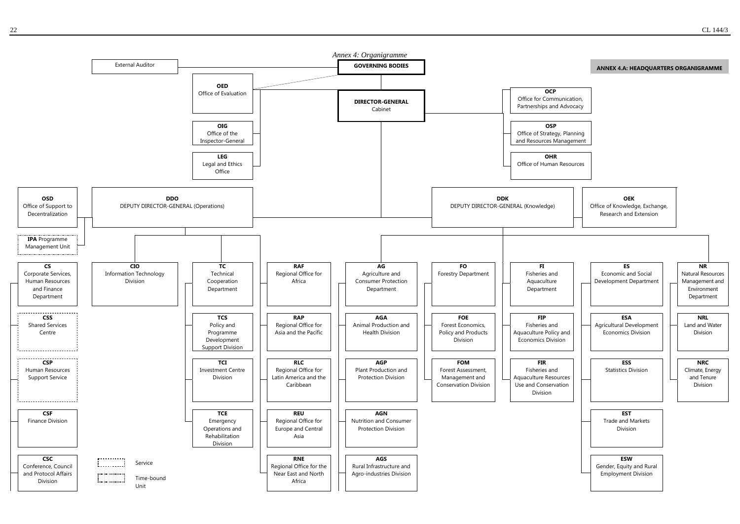

Unit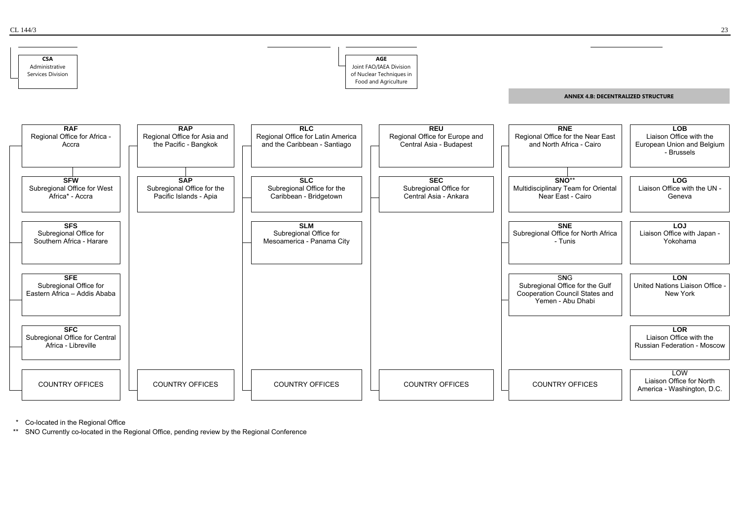

Co-located in the Regional Office

\*\* SNO Currently co-located in the Regional Office, pending review by the Regional Conference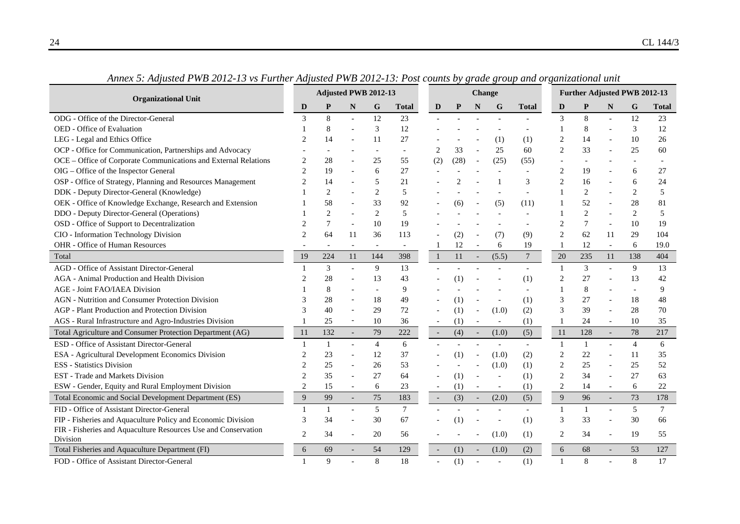|                                                                            | Adjusted PWB 2012-13 |                |                          |                |                          |                          |      | <b>Change</b>            |                          |              | Further Adjusted PWB 2012-13 |                |                          |                |        |  |
|----------------------------------------------------------------------------|----------------------|----------------|--------------------------|----------------|--------------------------|--------------------------|------|--------------------------|--------------------------|--------------|------------------------------|----------------|--------------------------|----------------|--------|--|
| <b>Organizational Unit</b>                                                 | D                    | P              | N                        | G              | <b>Total</b>             | D                        |      | N                        | G                        | <b>Total</b> | D                            | P              | N                        | G              | Total  |  |
| ODG - Office of the Director-General                                       | 3                    | 8              |                          | 12             | 23                       |                          |      |                          |                          |              | 3                            | 8              |                          | 12             | 23     |  |
| OED - Office of Evaluation                                                 |                      | 8              |                          | 3              | 12                       |                          |      |                          |                          |              |                              | 8              |                          | 3              | 12     |  |
| LEG - Legal and Ethics Office                                              |                      | 14             |                          | 11             | 27                       |                          |      |                          | (1)                      | (1)          |                              | 14             |                          | 10             | 26     |  |
| OCP - Office for Communication, Partnerships and Advocacy                  |                      |                |                          |                | $\overline{\phantom{a}}$ | $\overline{2}$           | 33   |                          | 25                       | 60           | $\overline{2}$               | 33             |                          | 25             | 60     |  |
| OCE - Office of Corporate Communications and External Relations            |                      | 28             |                          | 25             | 55                       | (2)                      | (28) | $\sim$                   | (25)                     | (55)         |                              |                |                          |                |        |  |
| OIG - Office of the Inspector General                                      |                      | 19             |                          | 6              | 27                       |                          |      |                          |                          |              | $\overline{c}$               | 19             |                          | 6              | 27     |  |
| OSP - Office of Strategy, Planning and Resources Management                |                      | 14             |                          | 5              | 21                       |                          |      |                          |                          | 3            | $\overline{c}$               | 16             |                          | 6              | 24     |  |
| DDK - Deputy Director-General (Knowledge)                                  |                      | 2              |                          | $\overline{c}$ | $\sqrt{5}$               |                          |      |                          |                          |              |                              | $\,2$          |                          | $\overline{c}$ | 5      |  |
| OEK - Office of Knowledge Exchange, Research and Extension                 |                      | 58             |                          | 33             | 92                       |                          | (6)  |                          | (5)                      | (11)         |                              | 52             |                          | 28             | 81     |  |
| DDO - Deputy Director-General (Operations)                                 |                      | $\overline{c}$ |                          | 2              | 5                        |                          |      |                          |                          |              |                              | $\overline{2}$ |                          | 2              | 5      |  |
| OSD - Office of Support to Decentralization                                |                      | $\overline{7}$ |                          | 10             | 19                       |                          |      |                          |                          |              | $\mathcal{D}_{\mathcal{A}}$  | 7              |                          | 10             | 19     |  |
| CIO - Information Technology Division                                      | $\mathfrak{D}$       | 64             | 11                       | 36             | 113                      |                          | (2)  |                          | (7)                      | (9)          | $\overline{2}$               | 62             | 11                       | 29             | 104    |  |
| OHR - Office of Human Resources                                            |                      |                |                          |                |                          | 1                        | 12   | $\overline{\phantom{a}}$ | 6                        | 19           |                              | 12             | $\overline{\phantom{a}}$ | 6              | 19.0   |  |
| Total                                                                      | 19                   | 224            | 11                       | 144            | 398                      | $\mathbf{1}$             | 11   | $\sim$                   | (5.5)                    | $\tau$       | 20                           | 235            | 11                       | 138            | 404    |  |
| AGD - Office of Assistant Director-General                                 |                      | 3              |                          | 9              | 13                       |                          |      |                          |                          |              | $\mathbf{1}$                 | 3              |                          | 9              | 13     |  |
| AGA - Animal Production and Health Division                                |                      | 28             |                          | 13             | 43                       |                          | (1)  |                          |                          | (1)          | $\overline{2}$               | 27             |                          | 13             | 42     |  |
| <b>AGE - Joint FAO/IAEA Division</b>                                       |                      | 8              |                          |                | 9                        |                          |      |                          |                          |              |                              | $\,8\,$        |                          |                | 9      |  |
| <b>AGN</b> - Nutrition and Consumer Protection Division                    |                      | 28             |                          | 18             | 49                       |                          | (1)  |                          |                          | (1)          | 3                            | 27             |                          | 18             | 48     |  |
| AGP - Plant Production and Protection Division                             |                      | 40             |                          | 29             | $72\,$                   |                          | (1)  |                          | (1.0)                    | (2)          | 3                            | 39             |                          | $28\,$         | 70     |  |
| AGS - Rural Infrastructure and Agro-Industries Division                    |                      | 25             | $\sim$                   | 10             | 36                       |                          | (1)  |                          | $\overline{\phantom{a}}$ | (1)          |                              | 24             |                          | 10             | 35     |  |
| Total Agriculture and Consumer Protection Department (AG)                  | 11                   | 132            | $\blacksquare$           | 79             | 222                      | $\overline{\phantom{a}}$ | (4)  | $\overline{\phantom{a}}$ | (1.0)                    | (5)          | 11                           | 128            | $\overline{\phantom{a}}$ | 78             | 217    |  |
| ESD - Office of Assistant Director-General                                 |                      |                | $\overline{a}$           | $\overline{4}$ | 6                        |                          |      |                          | $\overline{a}$           |              | -1                           | 1              |                          | $\overline{4}$ | 6      |  |
| ESA - Agricultural Development Economics Division                          |                      | 23             |                          | 12             | 37                       |                          | (1)  |                          | (1.0)                    | (2)          | $\overline{2}$               | 22             |                          | 11             | 35     |  |
| <b>ESS</b> - Statistics Division                                           | $\overline{c}$       | 25             |                          | 26             | 53                       |                          |      |                          | (1.0)                    | (1)          | $\overline{2}$               | 25             |                          | 25             | 52     |  |
| <b>EST</b> - Trade and Markets Division                                    | $\overline{c}$       | 35             |                          | 27             | 64                       |                          | (1)  |                          | $\overline{\phantom{a}}$ | (1)          | $\overline{2}$               | 34             |                          | 27             | 63     |  |
| ESW - Gender, Equity and Rural Employment Division                         | 2                    | 15             | $\overline{\phantom{a}}$ | 6              | 23                       | $\overline{\phantom{a}}$ | (1)  | $\overline{\phantom{a}}$ | $\overline{\phantom{a}}$ | (1)          | $\overline{2}$               | 14             | $\overline{\phantom{a}}$ | 6              | 22     |  |
| Total Economic and Social Development Department (ES)                      | $\overline{9}$       | 99             | $\mathbb{Z}^2$           | 75             | 183                      | $\overline{\phantom{a}}$ | (3)  | $\sim$                   | (2.0)                    | (5)          | $\overline{9}$               | 96             | $\mathcal{L}$            | 73             | 178    |  |
| FID - Office of Assistant Director-General                                 | $\mathbf{1}$         | $\mathbf{1}$   |                          | 5              | $\tau$                   |                          |      |                          | $\sim$                   |              |                              | $\mathbf{1}$   |                          | 5              | $\tau$ |  |
| FIP - Fisheries and Aquaculture Policy and Economic Division               | 3                    | 34             |                          | 30             | 67                       |                          | (1)  |                          |                          | (1)          | 3                            | 33             |                          | 30             | 66     |  |
| FIR - Fisheries and Aquaculture Resources Use and Conservation<br>Division | $\overline{2}$       | 34             |                          | 20             | 56                       |                          |      |                          | (1.0)                    | (1)          | $\overline{2}$               | 34             |                          | 19             | 55     |  |
| Total Fisheries and Aquaculture Department (FI)                            | 6                    | 69             |                          | 54             | 129                      |                          | (1)  |                          | (1.0)                    | (2)          | 6                            | 68             |                          | 53             | 127    |  |
| FOD - Office of Assistant Director-General                                 |                      | $\mathbf Q$    |                          | 8              | 18                       |                          | (1)  |                          |                          | (1)          |                              | 8              |                          | 8              | 17     |  |

*Annex 5: Adjusted PWB 2012-13 vs Further Adjusted PWB 2012-13: Post counts by grade group and organizational unit*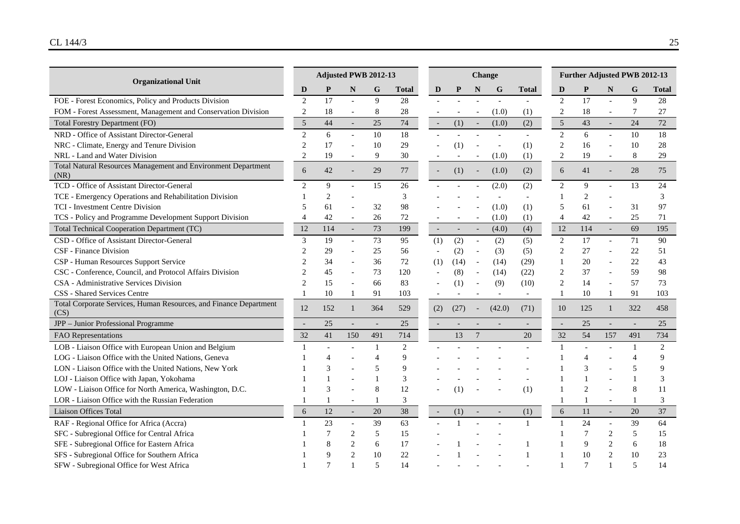| <b>Organizational Unit</b>                                                |                | Adjusted PWB 2012-13 |                          |                          |        |                          |      |                          | Change                   |              | Further Adjusted PWB 2012-13 |                |                          |                          |                |  |  |
|---------------------------------------------------------------------------|----------------|----------------------|--------------------------|--------------------------|--------|--------------------------|------|--------------------------|--------------------------|--------------|------------------------------|----------------|--------------------------|--------------------------|----------------|--|--|
|                                                                           | D              | P                    | N                        | G                        | Total  | D                        | P    | N                        | G                        | <b>Total</b> | D                            | P              | N                        | G                        | Total          |  |  |
| FOE - Forest Economics, Policy and Products Division                      | $\sqrt{2}$     | 17                   | $\overline{a}$           | 9                        | 28     |                          |      |                          |                          |              | $\mathbf{2}$                 | 17             | $\overline{a}$           | 9                        | 28             |  |  |
| FOM - Forest Assessment, Management and Conservation Division             | $\overline{2}$ | 18                   | $\overline{\phantom{a}}$ | 8                        | $28\,$ |                          |      | $\overline{\phantom{a}}$ | (1.0)                    | (1)          | $\overline{2}$               | 18             | $\overline{\phantom{a}}$ | 7                        | 27             |  |  |
| <b>Total Forestry Department (FO)</b>                                     | $\sqrt{5}$     | 44                   | $\overline{\phantom{a}}$ | 25                       | 74     | $\overline{\phantom{a}}$ | (1)  | $\sim$                   | (1.0)                    | (2)          | 5                            | 43             | $\overline{\phantom{a}}$ | 24                       | 72             |  |  |
| NRD - Office of Assistant Director-General                                | $\mathfrak{D}$ | 6                    | $\overline{a}$           | 10                       | 18     |                          |      |                          |                          |              | $\overline{2}$               | 6              | $\overline{a}$           | 10                       | 18             |  |  |
| NRC - Climate, Energy and Tenure Division                                 |                | 17                   |                          | 10                       | 29     |                          | (1)  |                          | $\overline{\phantom{a}}$ | (1)          | $\overline{2}$               | 16             |                          | 10                       | 28             |  |  |
| NRL - Land and Water Division                                             |                | 19                   | $\sim$                   | 9                        | 30     |                          |      |                          | (1.0)                    | (1)          | $\mathbf{2}$                 | 19             | $\overline{a}$           | $\,8\,$                  | 29             |  |  |
| Total Natural Resources Management and Environment Department<br>(NR)     | 6              | 42                   | $\overline{a}$           | 29                       | 77     | $\overline{\phantom{a}}$ | (1)  | $\blacksquare$           | (1.0)                    | (2)          | 6                            | 41             |                          | 28                       | 75             |  |  |
| TCD - Office of Assistant Director-General                                | $\overline{c}$ | 9                    | $\overline{\phantom{a}}$ | 15                       | 26     |                          |      |                          | (2.0)                    | (2)          | $\overline{2}$               | 9              |                          | 13                       | 24             |  |  |
| TCE - Emergency Operations and Rehabilitation Division                    |                | $\overline{c}$       |                          |                          | 3      |                          |      |                          |                          |              |                              | $\overline{c}$ |                          |                          | $\mathfrak{Z}$ |  |  |
| <b>TCI</b> - Investment Centre Division                                   |                | 61                   |                          | 32                       | 98     |                          |      |                          | (1.0)                    | (1)          | 5                            | 61             |                          | 31                       | 97             |  |  |
| TCS - Policy and Programme Development Support Division                   | $\overline{4}$ | 42                   | $\overline{a}$           | 26                       | 72     |                          |      |                          | (1.0)                    | (1)          | $\overline{4}$               | 42             |                          | 25                       | 71             |  |  |
| Total Technical Cooperation Department (TC)                               | 12             | 114                  | $\overline{\phantom{a}}$ | 73                       | 199    | $\overline{\phantom{a}}$ |      | $\overline{\phantom{a}}$ | (4.0)                    | (4)          | 12                           | 114            |                          | 69                       | 195            |  |  |
| CSD - Office of Assistant Director-General                                | 3              | 19                   | $\blacksquare$           | 73                       | 95     | (1)                      | (2)  | $\blacksquare$           | (2)                      | (5)          | $\overline{2}$               | 17             | $\overline{a}$           | 71                       | 90             |  |  |
| CSF - Finance Division                                                    |                | 29                   | $\overline{\phantom{a}}$ | 25                       | 56     | $\overline{\phantom{a}}$ | (2)  | $\overline{\phantom{a}}$ | (3)                      | (5)          | $\overline{2}$               | $27\,$         |                          | 22                       | 51             |  |  |
| CSP - Human Resources Support Service                                     |                | 34                   | $\sim$                   | 36                       | 72     | (1)                      | (14) | $\blacksquare$           | (14)                     | (29)         | $\mathbf{1}$                 | 20             |                          | 22                       | 43             |  |  |
| CSC - Conference, Council, and Protocol Affairs Division                  |                | 45                   | $\overline{\phantom{a}}$ | 73                       | 120    | $\blacksquare$           | (8)  | $\overline{\phantom{a}}$ | (14)                     | (22)         | $\overline{2}$               | 37             |                          | 59                       | 98             |  |  |
| CSA - Administrative Services Division                                    |                | 15                   | $\sim$                   | 66                       | 83     |                          | (1)  |                          | (9)                      | (10)         | $\overline{2}$               | 14             | $\overline{a}$           | 57                       | 73             |  |  |
| <b>CSS</b> - Shared Services Centre                                       | 1              | 10                   | 1                        | 91                       | 103    |                          |      |                          | $\overline{\phantom{a}}$ |              | -1                           | 10             | 1                        | 91                       | 103            |  |  |
| Total Corporate Services, Human Resources, and Finance Department<br>(CS) | 12             | 152                  | 1                        | 364                      | 529    | (2)                      | (27) | $\sim$                   | (42.0)                   | (71)         | 10                           | 125            | 1                        | 322                      | 458            |  |  |
| JPP - Junior Professional Programme                                       |                | 25                   | $\overline{\phantom{a}}$ |                          | 25     |                          |      |                          |                          |              | $\overline{\phantom{a}}$     | 25             |                          |                          | 25             |  |  |
| FAO Representations                                                       | 32             | 41                   | 150                      | 491                      | 714    |                          | 13   | $\overline{7}$           |                          | 20           | 32                           | 54             | 157                      | 491                      | 734            |  |  |
| LOB - Liaison Office with European Union and Belgium                      |                |                      | $\sim$                   | 1                        | 2      |                          |      |                          |                          |              | $\mathbf{1}$                 |                |                          | 1                        | 2              |  |  |
| LOG - Liaison Office with the United Nations, Geneva                      |                |                      |                          | 4                        | 9      |                          |      |                          |                          |              |                              | 4              |                          | $\overline{4}$           | 9              |  |  |
| LON - Liaison Office with the United Nations, New York                    |                | 3                    |                          | 5                        | 9      |                          |      |                          |                          |              |                              | 3              |                          | 5                        | 9              |  |  |
| LOJ - Liaison Office with Japan, Yokohama                                 |                |                      |                          |                          | 3      |                          |      |                          |                          |              |                              |                |                          |                          | 3              |  |  |
| LOW - Liaison Office for North America, Washington, D.C.                  |                | 3                    |                          | 8                        | 12     |                          | (1)  |                          |                          | (1)          |                              | $\overline{c}$ |                          | 8                        | 11             |  |  |
| LOR - Liaison Office with the Russian Federation                          |                | 1                    | $\overline{a}$           | 1                        | 3      |                          |      |                          |                          |              |                              | 1              |                          |                          | 3              |  |  |
| Liaison Offices Total                                                     | 6              | 12                   | $\overline{\phantom{a}}$ | 20                       | 38     | $\overline{\phantom{a}}$ | (1)  |                          |                          | (1)          | 6                            | $11\,$         | $\overline{\phantom{a}}$ | 20                       | 37             |  |  |
| RAF - Regional Office for Africa (Accra)                                  |                | 23                   | $\blacksquare$           | 39                       | 63     |                          |      |                          |                          | $\mathbf{1}$ | $\mathbf{1}$                 | 24             | $\overline{\phantom{a}}$ | 39                       | 64             |  |  |
| SFC - Subregional Office for Central Africa                               |                | 7                    | $\overline{c}$           | 5                        | 15     |                          |      |                          |                          |              |                              | 7              | 2                        | 5                        | 15             |  |  |
| SFE - Subregional Office for Eastern Africa                               |                |                      | $\overline{2}$           | 6                        | 17     |                          |      |                          |                          |              |                              | 9              | 2                        | 6                        | 18             |  |  |
| SFS - Subregional Office for Southern Africa                              |                |                      | $\overline{2}$           | 10                       | 22     |                          |      |                          |                          |              |                              | 10             | 2                        | 10                       | 23             |  |  |
| SFW - Subregional Office for West Africa                                  |                |                      |                          | $\overline{\phantom{0}}$ | 14     |                          |      |                          |                          |              |                              |                |                          | $\overline{\phantom{0}}$ | 14             |  |  |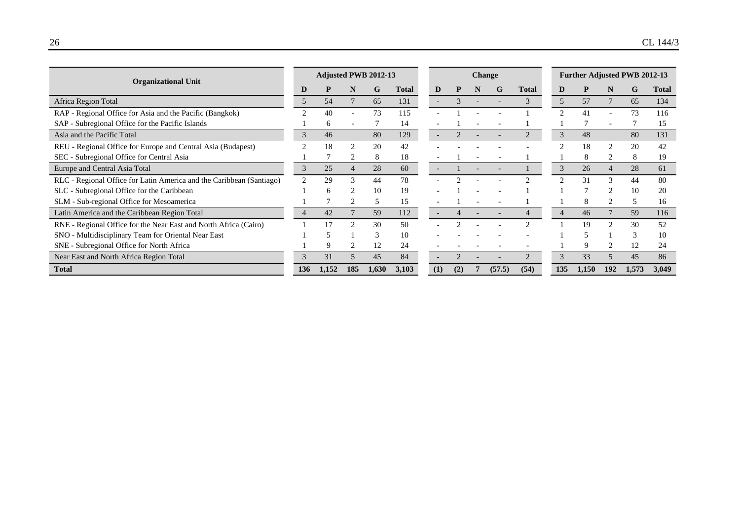| <b>Organizational Unit</b>                                           |                | <b>Change</b> |                               |       |       |  |                          |     | <b>Further Adjusted PWB 2012-13</b> |        |              |               |       |               |               |       |
|----------------------------------------------------------------------|----------------|---------------|-------------------------------|-------|-------|--|--------------------------|-----|-------------------------------------|--------|--------------|---------------|-------|---------------|---------------|-------|
|                                                                      | D              |               | N                             | G     | Total |  | D                        |     | N                                   | G      | <b>Total</b> | D             |       |               | G             | Total |
| Africa Region Total                                                  | 5              | 54            |                               | 65    | 131   |  |                          |     |                                     |        |              | 5             | 57    |               | 65            | 134   |
| RAP - Regional Office for Asia and the Pacific (Bangkok)             |                | 40            |                               | 73    | 115   |  |                          |     |                                     |        |              |               | 41    |               | 73            | 116   |
| SAP - Subregional Office for the Pacific Islands                     |                | 6             |                               |       | 14    |  |                          |     |                                     |        |              |               |       |               |               | 15    |
| Asia and the Pacific Total                                           | 3              | 46            |                               | 80    | 129   |  | $\overline{\phantom{a}}$ |     |                                     |        |              | $\mathcal{R}$ | 48    |               | 80            | 131   |
| REU - Regional Office for Europe and Central Asia (Budapest)         |                | 18            | $\mathfrak{D}_{\mathfrak{p}}$ | 20    | 42    |  |                          |     |                                     |        |              |               | 18    |               | 20            | 42    |
| SEC - Subregional Office for Central Asia                            |                |               |                               | 8     | 18    |  |                          |     |                                     |        |              |               | 8     |               | 8             | 19    |
| Europe and Central Asia Total                                        | 3              | 25            |                               | 28    | 60    |  |                          |     |                                     |        |              | 3             | 26    |               | 28            | 61    |
| RLC - Regional Office for Latin America and the Caribbean (Santiago) | $\bigcap$      | 29            | 3                             | 44    | 78    |  |                          |     |                                     |        |              |               | 31    | 3             | 44            | 80    |
| SLC - Subregional Office for the Caribbean                           |                | $\sqrt{2}$    |                               | 10    | 19    |  |                          |     |                                     |        |              |               |       |               | 10            | 20    |
| SLM - Sub-regional Office for Mesoamerica                            |                |               |                               | 5     | 15    |  |                          |     |                                     |        |              |               | 8     |               | $\mathcal{F}$ | 16    |
| Latin America and the Caribbean Region Total                         | $\overline{4}$ | 42            |                               | 59    | 112   |  | $\overline{\phantom{a}}$ |     |                                     |        |              |               | 46    |               | 59            | 116   |
| RNE - Regional Office for the Near East and North Africa (Cairo)     |                |               | $\mathcal{D}_{\mathcal{A}}$   | 30    | 50    |  |                          |     |                                     |        |              |               | 19    | $\mathcal{L}$ | 30            | 52    |
| SNO - Multidisciplinary Team for Oriental Near East                  |                |               |                               | 3     | 10    |  |                          |     |                                     |        |              |               |       |               |               | 10    |
| SNE - Subregional Office for North Africa                            |                | 9             |                               | 12    | 24    |  |                          |     |                                     |        |              |               | 9     |               | 12            | 24    |
| Near East and North Africa Region Total                              | $\mathcal{R}$  | 31            |                               | 45    | 84    |  | $\overline{\phantom{a}}$ |     |                                     |        |              | 3             | 33    |               | 45            | 86    |
| <b>Total</b>                                                         | 136            | 1.152         | 185                           | 1,630 | 3.103 |  | (1)                      | (2) |                                     | (57.5) | (54)         | 135           | 1,150 | 192           | 1,573         | 3.049 |